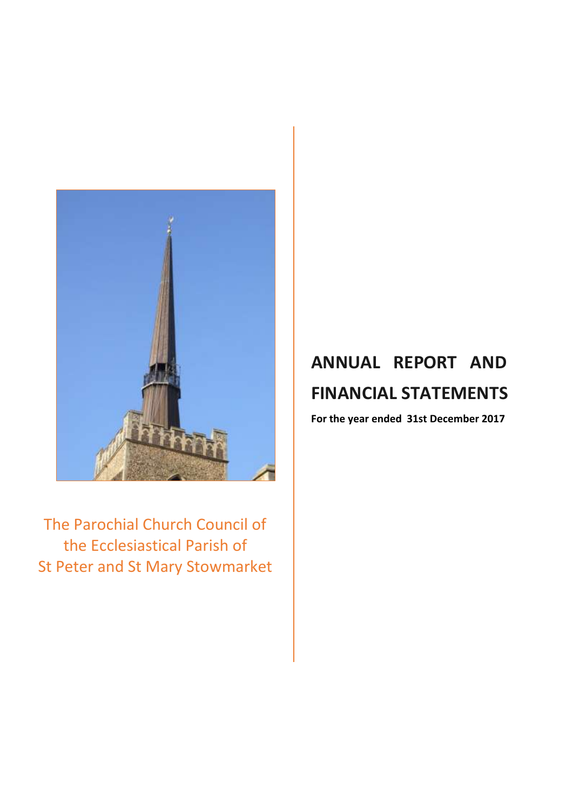

The Parochial Church Council of the Ecclesiastical Parish of St Peter and St Mary Stowmarket

# **ANNUAL REPORT AND FINANCIAL STATEMENTS**

**For the year ended 31st December 2017**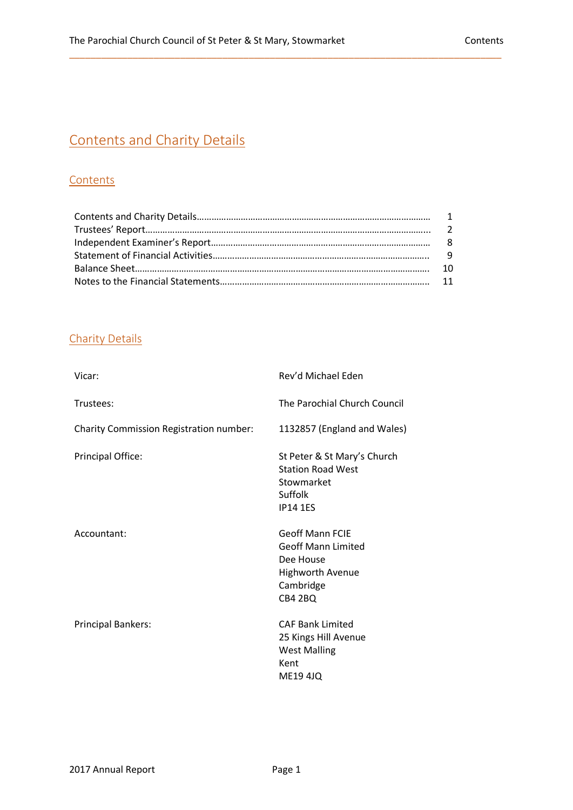## Contents and Charity Details

## **Contents**

\_\_\_\_\_\_\_\_\_\_\_\_\_\_\_\_\_\_\_\_\_\_\_\_\_\_\_\_\_\_\_\_\_\_\_\_\_\_\_\_\_\_\_\_\_\_\_\_\_\_\_\_\_\_\_\_\_\_\_\_\_\_\_\_\_\_\_\_\_\_\_\_\_\_\_\_\_\_\_\_\_\_

## Charity Details

| Vicar:                                  | Rev'd Michael Eden                                                                                                  |
|-----------------------------------------|---------------------------------------------------------------------------------------------------------------------|
| Trustees:                               | The Parochial Church Council                                                                                        |
| Charity Commission Registration number: | 1132857 (England and Wales)                                                                                         |
| Principal Office:                       | St Peter & St Mary's Church<br><b>Station Road West</b><br>Stowmarket<br>Suffolk<br><b>IP14 1ES</b>                 |
| Accountant:                             | <b>Geoff Mann FCIE</b><br><b>Geoff Mann Limited</b><br>Dee House<br><b>Highworth Avenue</b><br>Cambridge<br>CB4 2BQ |
| <b>Principal Bankers:</b>               | <b>CAF Bank Limited</b><br>25 Kings Hill Avenue<br><b>West Malling</b><br>Kent<br><b>ME19 4JQ</b>                   |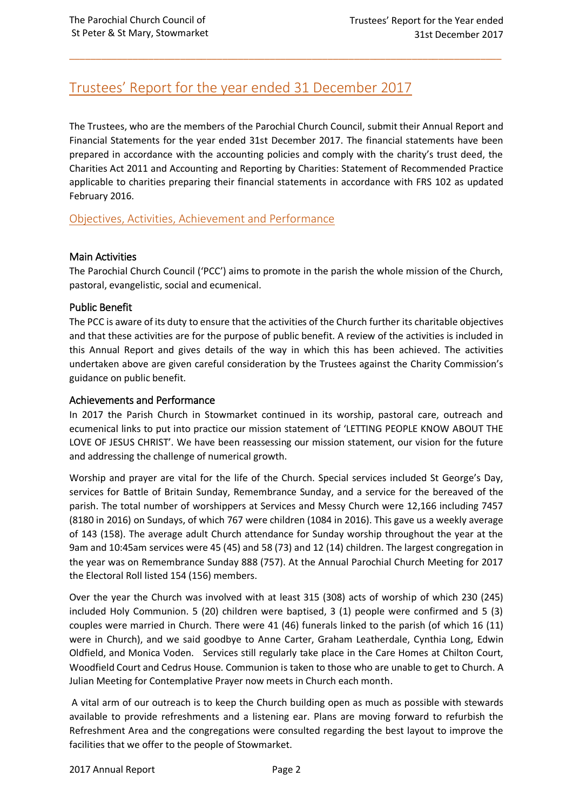## Trustees' Report for the year ended 31 December 2017

The Trustees, who are the members of the Parochial Church Council, submit their Annual Report and Financial Statements for the year ended 31st December 2017. The financial statements have been prepared in accordance with the accounting policies and comply with the charity's trust deed, the Charities Act 2011 and Accounting and Reporting by Charities: Statement of Recommended Practice applicable to charities preparing their financial statements in accordance with FRS 102 as updated February 2016.

\_\_\_\_\_\_\_\_\_\_\_\_\_\_\_\_\_\_\_\_\_\_\_\_\_\_\_\_\_\_\_\_\_\_\_\_\_\_\_\_\_\_\_\_\_\_\_\_\_\_\_\_\_\_\_\_\_\_\_\_\_\_\_\_\_\_\_\_\_\_\_\_\_\_\_\_\_\_\_\_\_\_

Objectives, Activities, Achievement and Performance

## Main Activities

The Parochial Church Council ('PCC') aims to promote in the parish the whole mission of the Church, pastoral, evangelistic, social and ecumenical.

## Public Benefit

The PCC is aware of its duty to ensure that the activities of the Church further its charitable objectives and that these activities are for the purpose of public benefit. A review of the activities is included in this Annual Report and gives details of the way in which this has been achieved. The activities undertaken above are given careful consideration by the Trustees against the Charity Commission's guidance on public benefit.

## Achievements and Performance

In 2017 the Parish Church in Stowmarket continued in its worship, pastoral care, outreach and ecumenical links to put into practice our mission statement of 'LETTING PEOPLE KNOW ABOUT THE LOVE OF JESUS CHRIST'. We have been reassessing our mission statement, our vision for the future and addressing the challenge of numerical growth.

Worship and prayer are vital for the life of the Church. Special services included St George's Day, services for Battle of Britain Sunday, Remembrance Sunday, and a service for the bereaved of the parish. The total number of worshippers at Services and Messy Church were 12,166 including 7457 (8180 in 2016) on Sundays, of which 767 were children (1084 in 2016). This gave us a weekly average of 143 (158). The average adult Church attendance for Sunday worship throughout the year at the 9am and 10:45am services were 45 (45) and 58 (73) and 12 (14) children. The largest congregation in the year was on Remembrance Sunday 888 (757). At the Annual Parochial Church Meeting for 2017 the Electoral Roll listed 154 (156) members.

Over the year the Church was involved with at least 315 (308) acts of worship of which 230 (245) included Holy Communion. 5 (20) children were baptised, 3 (1) people were confirmed and 5 (3) couples were married in Church. There were 41 (46) funerals linked to the parish (of which 16 (11) were in Church), and we said goodbye to Anne Carter, Graham Leatherdale, Cynthia Long, Edwin Oldfield, and Monica Voden. Services still regularly take place in the Care Homes at Chilton Court, Woodfield Court and Cedrus House. Communion is taken to those who are unable to get to Church. A Julian Meeting for Contemplative Prayer now meets in Church each month.

A vital arm of our outreach is to keep the Church building open as much as possible with stewards available to provide refreshments and a listening ear. Plans are moving forward to refurbish the Refreshment Area and the congregations were consulted regarding the best layout to improve the facilities that we offer to the people of Stowmarket.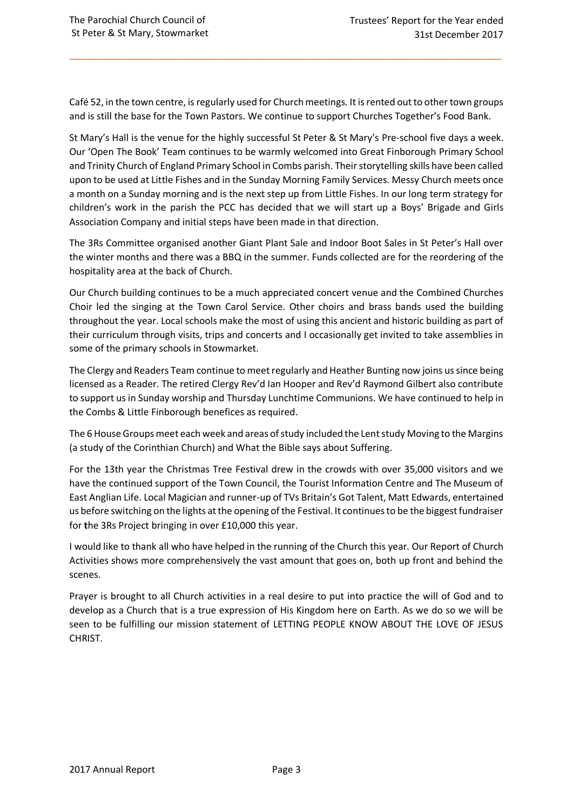Café 52, in the town centre, is regularly used for Church meetings. It is rented out to other town groups and is still the base for the Town Pastors. We continue to support Churches Together's Food Bank.

\_\_\_\_\_\_\_\_\_\_\_\_\_\_\_\_\_\_\_\_\_\_\_\_\_\_\_\_\_\_\_\_\_\_\_\_\_\_\_\_\_\_\_\_\_\_\_\_\_\_\_\_\_\_\_\_\_\_\_\_\_\_\_\_\_\_\_\_\_\_\_\_\_\_\_\_\_\_\_\_\_\_

St Mary's Hall is the venue for the highly successful St Peter & St Mary's Pre-school five days a week. Our 'Open The Book' Team continues to be warmly welcomed into Great Finborough Primary School and Trinity Church of England Primary School in Combs parish. Their storytelling skills have been called upon to be used at Little Fishes and in the Sunday Morning Family Services. Messy Church meets once a month on a Sunday morning and is the next step up from Little Fishes. In our long term strategy for children's work in the parish the PCC has decided that we will start up a Boys' Brigade and Girls Association Company and initial steps have been made in that direction.

The 3Rs Committee organised another Giant Plant Sale and Indoor Boot Sales in St Peter's Hall over the winter months and there was a BBQ in the summer. Funds collected are for the reordering of the hospitality area at the back of Church.

Our Church building continues to be a much appreciated concert venue and the Combined Churches Choir led the singing at the Town Carol Service. Other choirs and brass bands used the building throughout the year. Local schools make the most of using this ancient and historic building as part of their curriculum through visits, trips and concerts and I occasionally get invited to take assemblies in some of the primary schools in Stowmarket.

The Clergy and Readers Team continue to meet regularly and Heather Bunting now joins us since being licensed as a Reader. The retired Clergy Rev'd Ian Hooper and Rev'd Raymond Gilbert also contribute to support us in Sunday worship and Thursday Lunchtime Communions. We have continued to help in the Combs & Little Finborough benefices as required.

The 6 House Groups meet each week and areas of study included the Lent study Moving to the Margins (a study of the Corinthian Church) and What the Bible says about Suffering.

For the 13th year the Christmas Tree Festival drew in the crowds with over 35,000 visitors and we have the continued support of the Town Council, the Tourist Information Centre and The Museum of East Anglian Life. Local Magician and runner-up of TVs Britain's Got Talent, Matt Edwards, entertained us before switching on the lights at the opening of the Festival. It continues to be the biggest fundraiser for **t**he 3Rs Project bringing in over £10,000 this year.

I would like to thank all who have helped in the running of the Church this year. Our Report of Church Activities shows more comprehensively the vast amount that goes on, both up front and behind the scenes.

Prayer is brought to all Church activities in a real desire to put into practice the will of God and to develop as a Church that is a true expression of His Kingdom here on Earth. As we do so we will be seen to be fulfilling our mission statement of LETTING PEOPLE KNOW ABOUT THE LOVE OF JESUS CHRIST.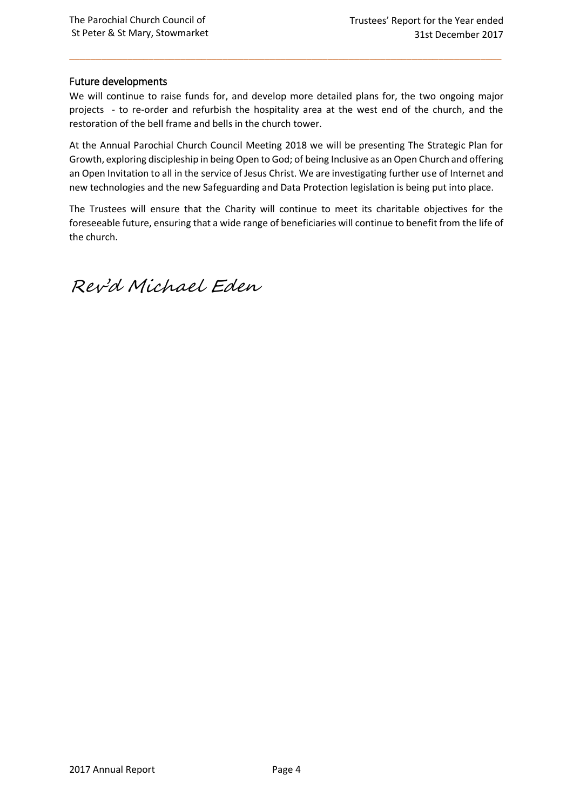## Future developments

We will continue to raise funds for, and develop more detailed plans for, the two ongoing major projects - to re-order and refurbish the hospitality area at the west end of the church, and the restoration of the bell frame and bells in the church tower.

\_\_\_\_\_\_\_\_\_\_\_\_\_\_\_\_\_\_\_\_\_\_\_\_\_\_\_\_\_\_\_\_\_\_\_\_\_\_\_\_\_\_\_\_\_\_\_\_\_\_\_\_\_\_\_\_\_\_\_\_\_\_\_\_\_\_\_\_\_\_\_\_\_\_\_\_\_\_\_\_\_\_

At the Annual Parochial Church Council Meeting 2018 we will be presenting The Strategic Plan for Growth, exploring discipleship in being Open to God; of being Inclusive as an Open Church and offering an Open Invitation to all in the service of Jesus Christ. We are investigating further use of Internet and new technologies and the new Safeguarding and Data Protection legislation is being put into place.

The Trustees will ensure that the Charity will continue to meet its charitable objectives for the foreseeable future, ensuring that a wide range of beneficiaries will continue to benefit from the life of the church.

Rev'd Michael Eden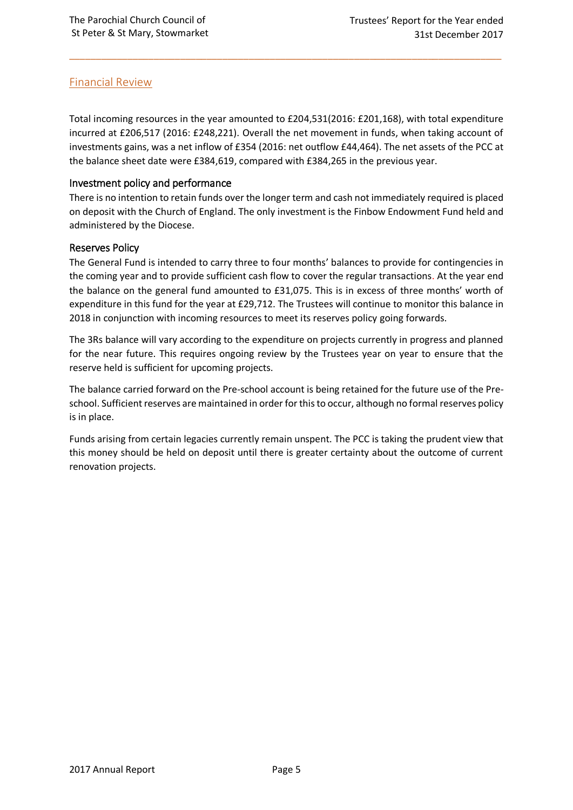## Financial Review

Total incoming resources in the year amounted to £204,531(2016: £201,168), with total expenditure incurred at £206,517 (2016: £248,221). Overall the net movement in funds, when taking account of investments gains, was a net inflow of £354 (2016: net outflow £44,464). The net assets of the PCC at the balance sheet date were £384,619, compared with £384,265 in the previous year.

\_\_\_\_\_\_\_\_\_\_\_\_\_\_\_\_\_\_\_\_\_\_\_\_\_\_\_\_\_\_\_\_\_\_\_\_\_\_\_\_\_\_\_\_\_\_\_\_\_\_\_\_\_\_\_\_\_\_\_\_\_\_\_\_\_\_\_\_\_\_\_\_\_\_\_\_\_\_\_\_\_\_

## Investment policy and performance

There is no intention to retain funds over the longer term and cash not immediately required is placed on deposit with the Church of England. The only investment is the Finbow Endowment Fund held and administered by the Diocese.

## Reserves Policy

The General Fund is intended to carry three to four months' balances to provide for contingencies in the coming year and to provide sufficient cash flow to cover the regular transactions. At the year end the balance on the general fund amounted to £31,075. This is in excess of three months' worth of expenditure in this fund for the year at £29,712. The Trustees will continue to monitor this balance in 2018 in conjunction with incoming resources to meet its reserves policy going forwards.

The 3Rs balance will vary according to the expenditure on projects currently in progress and planned for the near future. This requires ongoing review by the Trustees year on year to ensure that the reserve held is sufficient for upcoming projects.

The balance carried forward on the Pre-school account is being retained for the future use of the Preschool. Sufficient reserves are maintained in order for this to occur, although no formal reserves policy is in place.

Funds arising from certain legacies currently remain unspent. The PCC is taking the prudent view that this money should be held on deposit until there is greater certainty about the outcome of current renovation projects.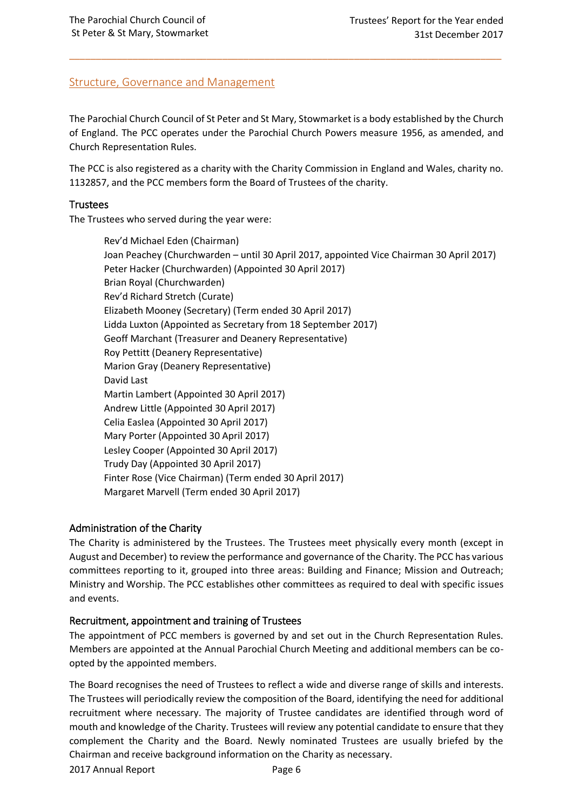## Structure, Governance and Management

The Parochial Church Council of St Peter and St Mary, Stowmarket is a body established by the Church of England. The PCC operates under the Parochial Church Powers measure 1956, as amended, and Church Representation Rules.

\_\_\_\_\_\_\_\_\_\_\_\_\_\_\_\_\_\_\_\_\_\_\_\_\_\_\_\_\_\_\_\_\_\_\_\_\_\_\_\_\_\_\_\_\_\_\_\_\_\_\_\_\_\_\_\_\_\_\_\_\_\_\_\_\_\_\_\_\_\_\_\_\_\_\_\_\_\_\_\_\_\_

The PCC is also registered as a charity with the Charity Commission in England and Wales, charity no. 1132857, and the PCC members form the Board of Trustees of the charity.

## **Trustees**

The Trustees who served during the year were:

Rev'd Michael Eden (Chairman) Joan Peachey (Churchwarden – until 30 April 2017, appointed Vice Chairman 30 April 2017) Peter Hacker (Churchwarden) (Appointed 30 April 2017) Brian Royal (Churchwarden) Rev'd Richard Stretch (Curate) Elizabeth Mooney (Secretary) (Term ended 30 April 2017) Lidda Luxton (Appointed as Secretary from 18 September 2017) Geoff Marchant (Treasurer and Deanery Representative) Roy Pettitt (Deanery Representative) Marion Gray (Deanery Representative) David Last Martin Lambert (Appointed 30 April 2017) Andrew Little (Appointed 30 April 2017) Celia Easlea (Appointed 30 April 2017) Mary Porter (Appointed 30 April 2017) Lesley Cooper (Appointed 30 April 2017) Trudy Day (Appointed 30 April 2017) Finter Rose (Vice Chairman) (Term ended 30 April 2017) Margaret Marvell (Term ended 30 April 2017)

## Administration of the Charity

The Charity is administered by the Trustees. The Trustees meet physically every month (except in August and December) to review the performance and governance of the Charity. The PCC has various committees reporting to it, grouped into three areas: Building and Finance; Mission and Outreach; Ministry and Worship. The PCC establishes other committees as required to deal with specific issues and events.

## Recruitment, appointment and training of Trustees

The appointment of PCC members is governed by and set out in the Church Representation Rules. Members are appointed at the Annual Parochial Church Meeting and additional members can be coopted by the appointed members.

The Board recognises the need of Trustees to reflect a wide and diverse range of skills and interests. The Trustees will periodically review the composition of the Board, identifying the need for additional recruitment where necessary. The majority of Trustee candidates are identified through word of mouth and knowledge of the Charity. Trustees will review any potential candidate to ensure that they complement the Charity and the Board. Newly nominated Trustees are usually briefed by the Chairman and receive background information on the Charity as necessary.

2017 Annual Report Page 6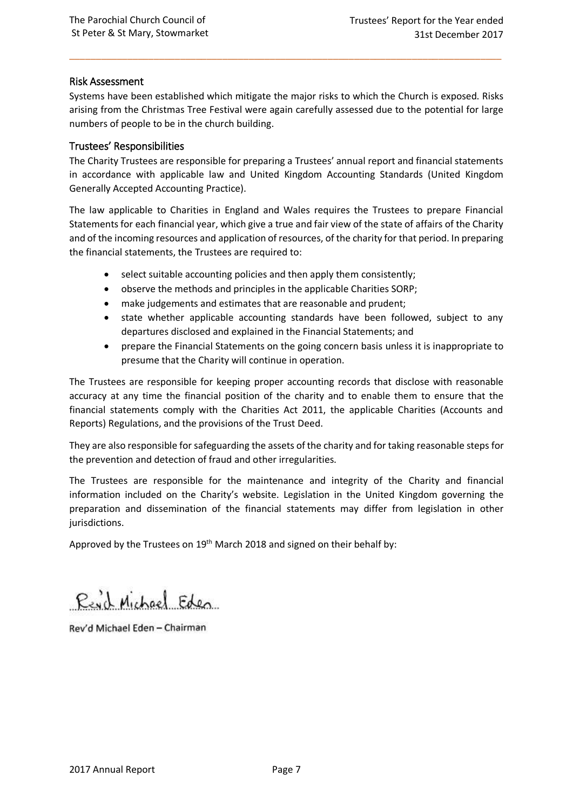## Risk Assessment

Systems have been established which mitigate the major risks to which the Church is exposed. Risks arising from the Christmas Tree Festival were again carefully assessed due to the potential for large numbers of people to be in the church building.

\_\_\_\_\_\_\_\_\_\_\_\_\_\_\_\_\_\_\_\_\_\_\_\_\_\_\_\_\_\_\_\_\_\_\_\_\_\_\_\_\_\_\_\_\_\_\_\_\_\_\_\_\_\_\_\_\_\_\_\_\_\_\_\_\_\_\_\_\_\_\_\_\_\_\_\_\_\_\_\_\_\_

## Trustees' Responsibilities

The Charity Trustees are responsible for preparing a Trustees' annual report and financial statements in accordance with applicable law and United Kingdom Accounting Standards (United Kingdom Generally Accepted Accounting Practice).

The law applicable to Charities in England and Wales requires the Trustees to prepare Financial Statements for each financial year, which give a true and fair view of the state of affairs of the Charity and of the incoming resources and application of resources, of the charity for that period. In preparing the financial statements, the Trustees are required to:

- select suitable accounting policies and then apply them consistently;
- observe the methods and principles in the applicable Charities SORP;
- make judgements and estimates that are reasonable and prudent;
- state whether applicable accounting standards have been followed, subject to any departures disclosed and explained in the Financial Statements; and
- prepare the Financial Statements on the going concern basis unless it is inappropriate to presume that the Charity will continue in operation.

The Trustees are responsible for keeping proper accounting records that disclose with reasonable accuracy at any time the financial position of the charity and to enable them to ensure that the financial statements comply with the Charities Act 2011, the applicable Charities (Accounts and Reports) Regulations, and the provisions of the Trust Deed.

They are also responsible for safeguarding the assets of the charity and for taking reasonable steps for the prevention and detection of fraud and other irregularities.

The Trustees are responsible for the maintenance and integrity of the Charity and financial information included on the Charity's website. Legislation in the United Kingdom governing the preparation and dissemination of the financial statements may differ from legislation in other jurisdictions.

Approved by the Trustees on 19<sup>th</sup> March 2018 and signed on their behalf by:

Read Michael Eden

Rev'd Michael Eden - Chairman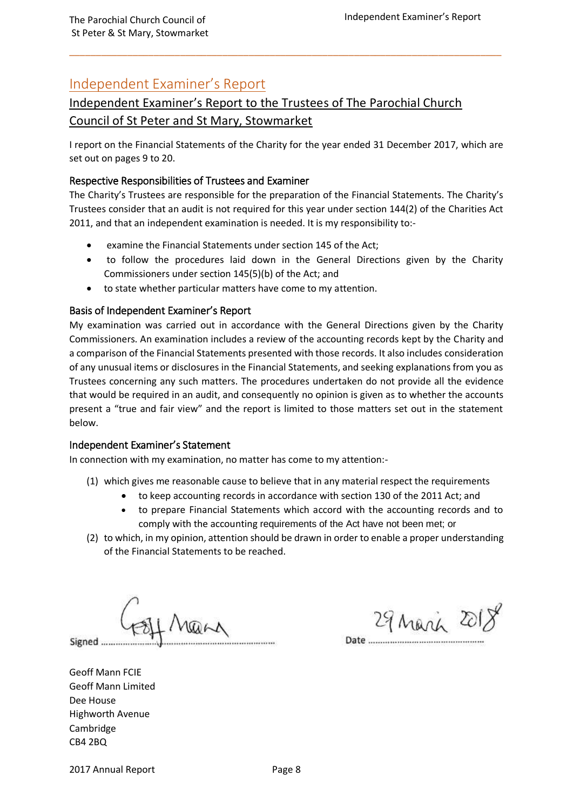## Independent Examiner's Report

## Independent Examiner's Report to the Trustees of The Parochial Church Council of St Peter and St Mary, Stowmarket

I report on the Financial Statements of the Charity for the year ended 31 December 2017, which are set out on pages 9 to 20.

\_\_\_\_\_\_\_\_\_\_\_\_\_\_\_\_\_\_\_\_\_\_\_\_\_\_\_\_\_\_\_\_\_\_\_\_\_\_\_\_\_\_\_\_\_\_\_\_\_\_\_\_\_\_\_\_\_\_\_\_\_\_\_\_\_\_\_\_\_\_\_\_\_\_\_\_\_\_\_\_\_\_

## Respective Responsibilities of Trustees and Examiner

The Charity's Trustees are responsible for the preparation of the Financial Statements. The Charity's Trustees consider that an audit is not required for this year under section 144(2) of the Charities Act 2011, and that an independent examination is needed. It is my responsibility to:-

- examine the Financial Statements under section 145 of the Act;
- to follow the procedures laid down in the General Directions given by the Charity Commissioners under section 145(5)(b) of the Act; and
- to state whether particular matters have come to my attention.

## Basis of Independent Examiner's Report

My examination was carried out in accordance with the General Directions given by the Charity Commissioners. An examination includes a review of the accounting records kept by the Charity and a comparison of the Financial Statements presented with those records. It also includes consideration of any unusual items or disclosures in the Financial Statements, and seeking explanations from you as Trustees concerning any such matters. The procedures undertaken do not provide all the evidence that would be required in an audit, and consequently no opinion is given as to whether the accounts present a "true and fair view" and the report is limited to those matters set out in the statement below.

### Independent Examiner's Statement

In connection with my examination, no matter has come to my attention:-

- (1) which gives me reasonable cause to believe that in any material respect the requirements
	- to keep accounting records in accordance with section 130 of the 2011 Act; and
	- to prepare Financial Statements which accord with the accounting records and to comply with the accounting requirements of the Act have not been met; or
- (2) to which, in my opinion, attention should be drawn in order to enable a proper understanding of the Financial Statements to be reached.

Signed .........

29 March 2018

Date

Geoff Mann FCIE Geoff Mann Limited Dee House Highworth Avenue Cambridge CB4 2BQ

2017 Annual Report Page 8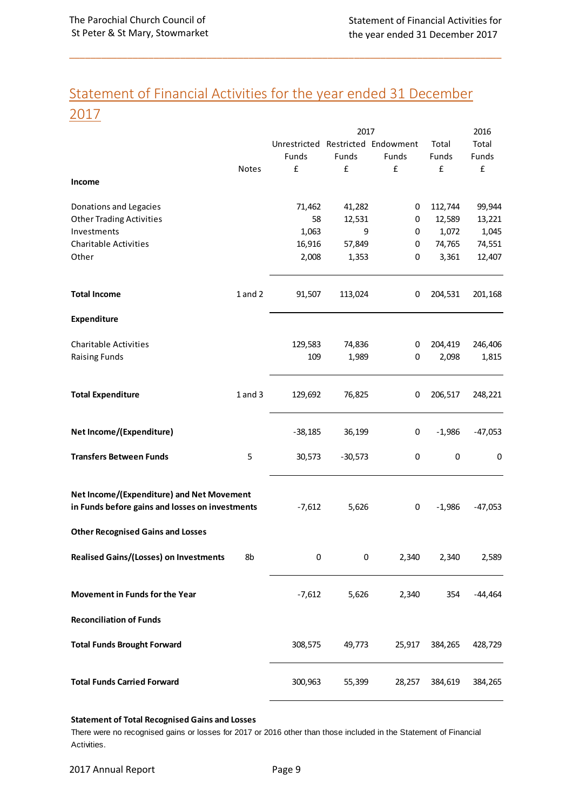## Statement of Financial Activities for the year ended 31 December 2017

\_\_\_\_\_\_\_\_\_\_\_\_\_\_\_\_\_\_\_\_\_\_\_\_\_\_\_\_\_\_\_\_\_\_\_\_\_\_\_\_\_\_\_\_\_\_\_\_\_\_\_\_\_\_\_\_\_\_\_\_\_\_\_\_\_\_\_\_\_\_\_\_\_\_\_\_\_\_\_\_\_\_

|                                                                                              |             |                                   | 2017      |        |          | 2016      |
|----------------------------------------------------------------------------------------------|-------------|-----------------------------------|-----------|--------|----------|-----------|
|                                                                                              |             | Unrestricted Restricted Endowment |           |        | Total    | Total     |
|                                                                                              |             | Funds                             | Funds     | Funds  | Funds    | Funds     |
|                                                                                              | Notes       | £                                 | £         | £      | £        | £         |
| Income                                                                                       |             |                                   |           |        |          |           |
|                                                                                              |             |                                   |           |        |          |           |
| Donations and Legacies                                                                       |             | 71,462                            | 41,282    | 0      | 112,744  | 99,944    |
| <b>Other Trading Activities</b>                                                              |             | 58                                | 12,531    | 0      | 12,589   | 13,221    |
| Investments                                                                                  |             | 1,063                             | 9         | 0      | 1,072    | 1,045     |
| <b>Charitable Activities</b>                                                                 |             | 16,916                            | 57,849    | 0      | 74,765   | 74,551    |
| Other                                                                                        |             | 2,008                             | 1,353     | 0      | 3,361    | 12,407    |
| <b>Total Income</b>                                                                          | $1$ and $2$ | 91,507                            | 113,024   | 0      | 204,531  | 201,168   |
| Expenditure                                                                                  |             |                                   |           |        |          |           |
| <b>Charitable Activities</b>                                                                 |             | 129,583                           | 74,836    | 0      | 204,419  | 246,406   |
| <b>Raising Funds</b>                                                                         |             | 109                               | 1,989     | 0      | 2,098    | 1,815     |
|                                                                                              |             |                                   |           |        |          |           |
| <b>Total Expenditure</b>                                                                     | $1$ and $3$ | 129,692                           | 76,825    | 0      | 206,517  | 248,221   |
| Net Income/(Expenditure)                                                                     |             | $-38,185$                         | 36,199    | 0      | $-1,986$ | $-47,053$ |
| <b>Transfers Between Funds</b>                                                               | 5           | 30,573                            | $-30,573$ | 0      | 0        | 0         |
| Net Income/(Expenditure) and Net Movement<br>in Funds before gains and losses on investments |             | $-7,612$                          | 5,626     | 0      | $-1,986$ | $-47,053$ |
| <b>Other Recognised Gains and Losses</b>                                                     |             |                                   |           |        |          |           |
| <b>Realised Gains/(Losses) on Investments</b>                                                | 8b          | 0                                 | 0         | 2,340  | 2,340    | 2,589     |
| Movement in Funds for the Year                                                               |             | $-7,612$                          | 5,626     | 2,340  | 354      | $-44,464$ |
| <b>Reconciliation of Funds</b>                                                               |             |                                   |           |        |          |           |
| <b>Total Funds Brought Forward</b>                                                           |             | 308,575                           | 49,773    | 25,917 | 384,265  | 428,729   |
| <b>Total Funds Carried Forward</b>                                                           |             | 300,963                           | 55,399    | 28,257 | 384,619  | 384,265   |
|                                                                                              |             |                                   |           |        |          |           |

### **Statement of Total Recognised Gains and Losses**

There were no recognised gains or losses for 2017 or 2016 other than those included in the Statement of Financial Activities.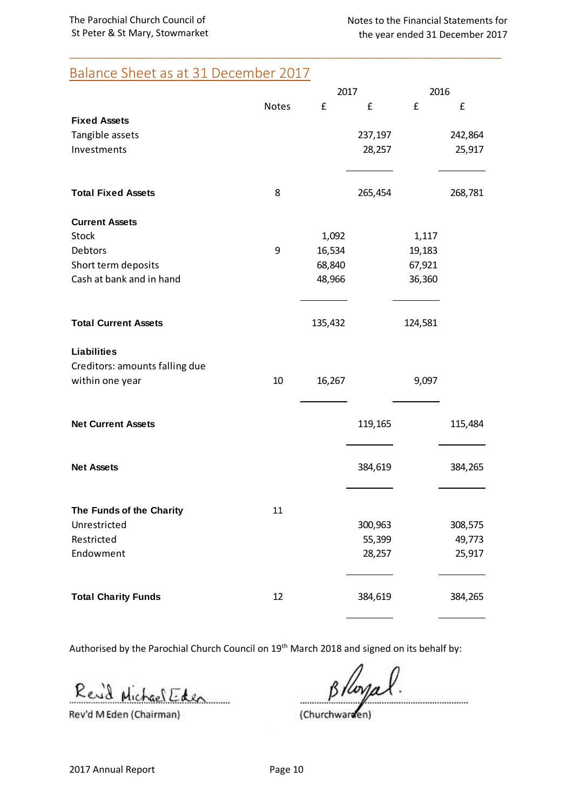## Balance Sheet as at 31 December 2017

|                                |              | 2017    |         | 2016    |         |
|--------------------------------|--------------|---------|---------|---------|---------|
|                                | <b>Notes</b> | £       | £       | £       | £       |
| <b>Fixed Assets</b>            |              |         |         |         |         |
| Tangible assets                |              |         | 237,197 |         | 242,864 |
| Investments                    |              |         | 28,257  |         | 25,917  |
| <b>Total Fixed Assets</b>      | 8            |         | 265,454 |         | 268,781 |
| <b>Current Assets</b>          |              |         |         |         |         |
| <b>Stock</b>                   |              | 1,092   |         | 1,117   |         |
| Debtors                        | 9            | 16,534  |         | 19,183  |         |
| Short term deposits            |              | 68,840  |         | 67,921  |         |
| Cash at bank and in hand       |              | 48,966  |         | 36,360  |         |
| <b>Total Current Assets</b>    |              | 135,432 |         | 124,581 |         |
| <b>Liabilities</b>             |              |         |         |         |         |
| Creditors: amounts falling due |              |         |         |         |         |
| within one year                | 10           | 16,267  |         | 9,097   |         |
| <b>Net Current Assets</b>      |              |         | 119,165 |         | 115,484 |
|                                |              |         |         |         |         |
| <b>Net Assets</b>              |              |         | 384,619 |         | 384,265 |
| The Funds of the Charity       | 11           |         |         |         |         |
| Unrestricted                   |              |         | 300,963 |         | 308,575 |
| Restricted                     |              |         | 55,399  |         | 49,773  |
| Endowment                      |              |         | 28,257  |         | 25,917  |
| <b>Total Charity Funds</b>     | 12           |         | 384,619 |         | 384,265 |

\_\_\_\_\_\_\_\_\_\_\_\_\_\_\_\_\_\_\_\_\_\_\_\_\_\_\_\_\_\_\_\_\_\_\_\_\_\_\_\_\_\_\_\_\_\_\_\_\_\_\_\_\_\_\_\_\_\_\_\_\_\_\_\_\_\_\_\_\_\_\_\_\_\_\_\_\_\_\_\_\_\_

Authorised by the Parochial Church Council on 19<sup>th</sup> March 2018 and signed on its behalf by:

Rev'd Michael Eden . . . . . . . . . .

Rev'd M Eden (Chairman)

(Churchwarden)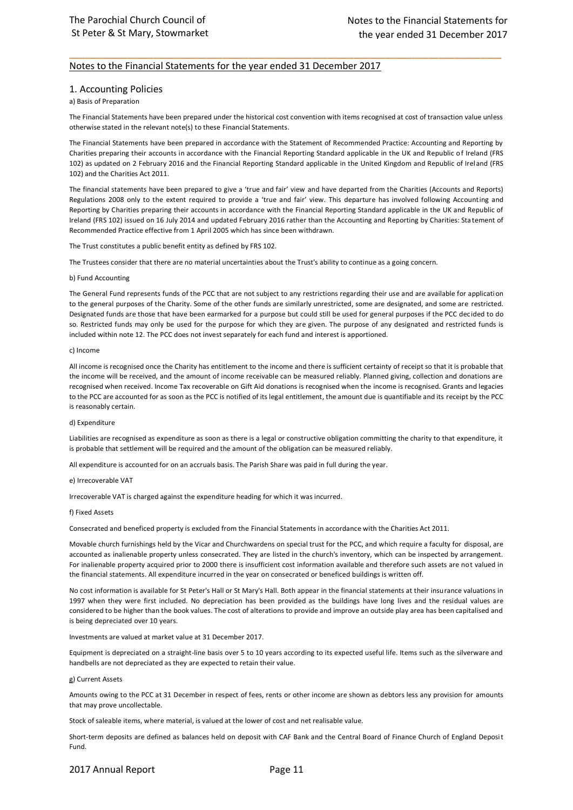### Notes to the Financial Statements for the year ended 31 December 2017

#### 1. Accounting Policies

#### a) Basis of Preparation

The Financial Statements have been prepared under the historical cost convention with items recognised at cost of transaction value unless otherwise stated in the relevant note(s) to these Financial Statements.

\_\_\_\_\_\_\_\_\_\_\_\_\_\_\_\_\_\_\_\_\_\_\_\_\_\_\_\_\_\_\_\_\_\_\_\_\_\_\_\_\_\_\_\_\_\_\_\_\_\_\_\_\_\_\_\_\_\_\_\_\_\_\_\_\_\_\_\_\_\_\_\_\_\_\_\_\_\_\_\_\_\_

The Financial Statements have been prepared in accordance with the Statement of Recommended Practice: Accounting and Reporting by Charities preparing their accounts in accordance with the Financial Reporting Standard applicable in the UK and Republic of Ireland (FRS 102) as updated on 2 February 2016 and the Financial Reporting Standard applicable in the United Kingdom and Republic of Ireland (FRS 102) and the Charities Act 2011.

The financial statements have been prepared to give a 'true and fair' view and have departed from the Charities (Accounts and Reports) Regulations 2008 only to the extent required to provide a 'true and fair' view. This departure has involved following Accounting and Reporting by Charities preparing their accounts in accordance with the Financial Reporting Standard applicable in the UK and Republic of Ireland (FRS 102) issued on 16 July 2014 and updated February 2016 rather than the Accounting and Reporting by Charities: Statement of Recommended Practice effective from 1 April 2005 which has since been withdrawn.

The Trust constitutes a public benefit entity as defined by FRS 102.

The Trustees consider that there are no material uncertainties about the Trust's ability to continue as a going concern.

#### b) Fund Accounting

The General Fund represents funds of the PCC that are not subject to any restrictions regarding their use and are available for application to the general purposes of the Charity. Some of the other funds are similarly unrestricted, some are designated, and some are restricted. Designated funds are those that have been earmarked for a purpose but could still be used for general purposes if the PCC dec ided to do so. Restricted funds may only be used for the purpose for which they are given. The purpose of any designated and restricted funds is included within note 12. The PCC does not invest separately for each fund and interest is apportioned.

#### c) Income

All income is recognised once the Charity has entitlement to the income and there is sufficient certainty of receipt so that it is probable that the income will be received, and the amount of income receivable can be measured reliably. Planned giving, collection and donations are recognised when received. Income Tax recoverable on Gift Aid donations is recognised when the income is recognised. Grants and legacies to the PCC are accounted for as soon as the PCC is notified of its legal entitlement, the amount due is quantifiable and its receipt by the PCC is reasonably certain.

#### d) Expenditure

Liabilities are recognised as expenditure as soon as there is a legal or constructive obligation committing the charity to that expenditure, it is probable that settlement will be required and the amount of the obligation can be measured reliably.

All expenditure is accounted for on an accruals basis. The Parish Share was paid in full during the year.

#### e) Irrecoverable VAT

Irrecoverable VAT is charged against the expenditure heading for which it was incurred.

#### f) Fixed Assets

Consecrated and beneficed property is excluded from the Financial Statements in accordance with the Charities Act 2011.

Movable church furnishings held by the Vicar and Churchwardens on special trust for the PCC, and which require a faculty for disposal, are accounted as inalienable property unless consecrated. They are listed in the church's inventory, which can be inspected by arrangement. For inalienable property acquired prior to 2000 there is insufficient cost information available and therefore such assets are not valued in the financial statements. All expenditure incurred in the year on consecrated or beneficed buildings is written off.

No cost information is available for St Peter's Hall or St Mary's Hall. Both appear in the financial statements at their insurance valuations in 1997 when they were first included. No depreciation has been provided as the buildings have long lives and the residual values are considered to be higher than the book values. The cost of alterations to provide and improve an outside play area has been capitalised and is being depreciated over 10 years.

#### Investments are valued at market value at 31 December 2017.

Equipment is depreciated on a straight-line basis over 5 to 10 years according to its expected useful life. Items such as the silverware and handbells are not depreciated as they are expected to retain their value.

#### g) Current Assets

Amounts owing to the PCC at 31 December in respect of fees, rents or other income are shown as debtors less any provision for amounts that may prove uncollectable.

Stock of saleable items, where material, is valued at the lower of cost and net realisable value.

Short-term deposits are defined as balances held on deposit with CAF Bank and the Central Board of Finance Church of England Deposit Fund.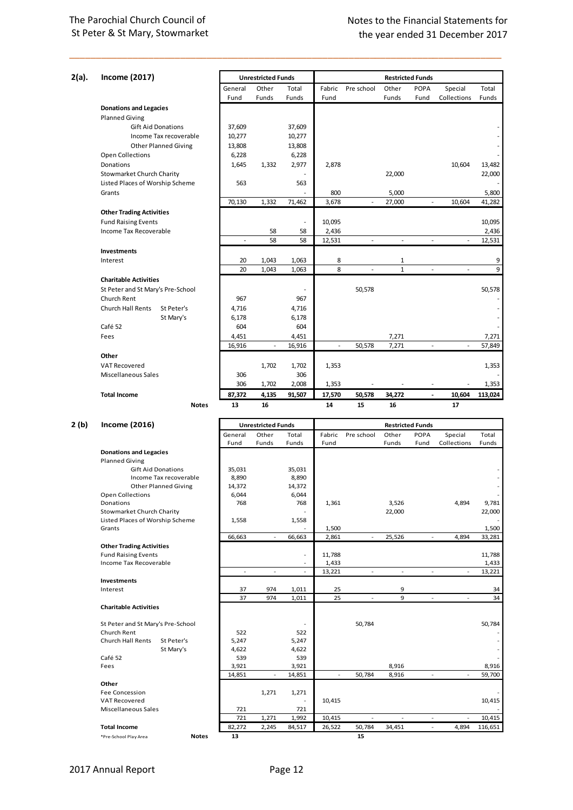| 2(a). | <b>Income (2017)</b>              |         | <b>Unrestricted Funds</b> |                 |           |                          |              | <b>Restricted Funds</b>         |             |         |
|-------|-----------------------------------|---------|---------------------------|-----------------|-----------|--------------------------|--------------|---------------------------------|-------------|---------|
|       |                                   | General | Other                     | Total           | Fabric    | Pre school               | Other        | <b>POPA</b>                     | Special     | Total   |
|       |                                   | Fund    | Funds                     | Funds           | Fund      |                          | Funds        | Fund                            | Collections | Funds   |
|       | <b>Donations and Legacies</b>     |         |                           |                 |           |                          |              |                                 |             |         |
|       | <b>Planned Giving</b>             |         |                           |                 |           |                          |              |                                 |             |         |
|       | <b>Gift Aid Donations</b>         | 37,609  |                           | 37,609          |           |                          |              |                                 |             |         |
|       | Income Tax recoverable            | 10,277  |                           | 10,277          |           |                          |              |                                 |             |         |
|       | <b>Other Planned Giving</b>       | 13,808  |                           | 13,808          |           |                          |              |                                 |             |         |
|       | Open Collections                  | 6,228   |                           | 6,228           |           |                          |              |                                 |             |         |
|       | Donations                         | 1,645   | 1,332                     | 2,977           | 2,878     |                          |              |                                 | 10,604      | 13,482  |
|       | <b>Stowmarket Church Charity</b>  |         |                           |                 |           |                          | 22,000       |                                 |             | 22,000  |
|       | Listed Places of Worship Scheme   | 563     |                           | 563             |           |                          |              |                                 |             |         |
|       | Grants                            |         |                           |                 | 800       |                          | 5,000        |                                 |             | 5,800   |
|       |                                   | 70,130  | 1,332                     |                 |           | $\overline{\phantom{a}}$ |              | ÷,                              | 10,604      |         |
|       |                                   |         |                           | 71,462          | 3,678     |                          | 27,000       |                                 |             | 41,282  |
|       | <b>Other Trading Activities</b>   |         |                           |                 |           |                          |              |                                 |             |         |
|       | <b>Fund Raising Events</b>        |         |                           | ÷,              | 10,095    |                          |              |                                 |             | 10,095  |
|       | Income Tax Recoverable            |         | 58                        | 58              | 2,436     |                          |              |                                 |             | 2,436   |
|       |                                   |         | 58                        | 58              | 12,531    |                          | ٠            |                                 |             | 12,531  |
|       | Investments                       |         |                           |                 |           |                          |              |                                 |             |         |
|       | Interest                          | 20      | 1,043                     | 1,063           | 8         |                          | 1            |                                 |             | 9       |
|       |                                   | 20      | 1,043                     | 1,063           | 8         | ä,                       | $\mathbf{1}$ | $\sim$                          | ÷,          | 9       |
|       | <b>Charitable Activities</b>      |         |                           |                 |           |                          |              |                                 |             |         |
|       | St Peter and St Mary's Pre-School |         |                           |                 |           | 50,578                   |              |                                 |             | 50,578  |
|       | Church Rent                       | 967     |                           | 967             |           |                          |              |                                 |             |         |
|       | Church Hall Rents<br>St Peter's   | 4,716   |                           | 4,716           |           |                          |              |                                 |             |         |
|       | St Mary's                         | 6,178   |                           | 6,178           |           |                          |              |                                 |             |         |
|       | Café 52                           | 604     |                           | 604             |           |                          |              |                                 |             |         |
|       | Fees                              | 4,451   |                           | 4,451           |           |                          | 7,271        |                                 |             | 7,271   |
|       |                                   | 16,916  | ÷.                        | 16,916          | $\bar{a}$ | 50,578                   | 7,271        | ÷.                              | ÷.          | 57,849  |
|       | Other                             |         |                           |                 |           |                          |              |                                 |             |         |
|       | VAT Recovered                     |         | 1,702                     | 1,702           | 1,353     |                          |              |                                 |             | 1,353   |
|       | <b>Miscellaneous Sales</b>        | 306     |                           | 306             |           |                          |              |                                 |             |         |
|       |                                   | 306     | 1,702                     |                 |           | $\overline{\phantom{a}}$ |              |                                 |             |         |
|       | <b>Total Income</b>               | 87,372  | 4,135                     | 2,008<br>91,507 | 1,353     |                          |              | $\centering \label{eq:reduced}$ | 10,604      | 1,353   |
|       |                                   | 13      | 16                        |                 | 17,570    | 50,578                   | 34,272<br>16 |                                 | 17          | 113,024 |
|       | <b>Notes</b>                      |         |                           |                 | 14        | 15                       |              |                                 |             |         |
| 2 (b) | <b>Income (2016)</b>              |         | <b>Unrestricted Funds</b> |                 |           |                          |              | <b>Restricted Funds</b>         |             |         |
|       |                                   | General | Other                     | Total           | Fabric    | Pre school               | Other        | <b>POPA</b>                     | Special     | Total   |
|       |                                   | Fund    | Funds                     | Funds           | Fund      |                          | Funds        | Fund                            | Collections | Funds   |
|       | <b>Donations and Legacies</b>     |         |                           |                 |           |                          |              |                                 |             |         |
|       | <b>Planned Giving</b>             |         |                           |                 |           |                          |              |                                 |             |         |
|       | <b>Gift Aid Donations</b>         | 35,031  |                           | 35,031          |           |                          |              |                                 |             |         |
|       | Income Tax recoverable            | 8,890   |                           | 8,890           |           |                          |              |                                 |             |         |
|       | <b>Other Planned Giving</b>       | 14,372  |                           | 14,372          |           |                          |              |                                 |             |         |
|       | Open Collections                  | 6,044   |                           | 6,044           |           |                          |              |                                 |             |         |
|       | Donations                         | 768     |                           | 768             | 1,361     |                          | 3,526        |                                 | 4,894       | 9,781   |

| <b>Notes</b><br>*Pre-School Play Area  | 13                       |                          |        |                | 15                       |                |                          |                |         |
|----------------------------------------|--------------------------|--------------------------|--------|----------------|--------------------------|----------------|--------------------------|----------------|---------|
| <b>Total Income</b>                    | 82,272                   | 2,245                    | 84,517 | 26,522         | 50,784                   | 34,451         | ٠                        | 4,894          | 116,651 |
|                                        | 721                      | 1,271                    | 1,992  | 10,415         | $\ddot{\phantom{0}}$     |                | ٠                        |                | 10,415  |
| Miscellaneous Sales                    | 721                      |                          | 721    |                |                          |                |                          |                |         |
| <b>VAT Recovered</b>                   |                          |                          |        | 10,415         |                          |                |                          |                | 10,415  |
| Fee Concession                         |                          | 1,271                    | 1,271  |                |                          |                |                          |                |         |
| Other                                  |                          |                          |        |                |                          |                |                          |                |         |
|                                        | 14,851                   |                          | 14,851 | $\blacksquare$ | 50,784                   | 8,916          | $\overline{\phantom{a}}$ |                | 59,700  |
| Fees                                   | 3,921                    |                          | 3,921  |                |                          | 8,916          |                          |                | 8,916   |
| Café 52                                | 539                      |                          | 539    |                |                          |                |                          |                |         |
| St Mary's                              | 4,622                    |                          | 4,622  |                |                          |                |                          |                |         |
| <b>Church Hall Rents</b><br>St Peter's | 5,247                    |                          | 5,247  |                |                          |                |                          |                |         |
| Church Rent                            | 522                      |                          | 522    |                |                          |                |                          |                |         |
| St Peter and St Mary's Pre-School      |                          |                          |        |                | 50,784                   |                |                          |                | 50,784  |
| <b>Charitable Activities</b>           |                          |                          |        |                |                          |                |                          |                |         |
|                                        | 37                       | 974                      | 1,011  | 25             | $\blacksquare$           | 9              | $\sim$                   | $\blacksquare$ | 34      |
| Interest                               | 37                       | 974                      | 1,011  | 25             |                          | 9              |                          |                | 34      |
| <b>Investments</b>                     |                          |                          |        |                |                          |                |                          |                |         |
|                                        | $\overline{\phantom{a}}$ | $\sim$                   | $\sim$ | 13,221         | $\blacksquare$           | $\blacksquare$ | $\sim$                   | $\sim$         | 13,221  |
| Income Tax Recoverable                 |                          |                          |        | 1,433          |                          |                |                          |                | 1,433   |
| <b>Fund Raising Events</b>             |                          |                          |        | 11,788         |                          |                |                          |                | 11,788  |
| <b>Other Trading Activities</b>        |                          |                          |        |                |                          |                |                          |                |         |
|                                        | 66,663                   | $\overline{\phantom{a}}$ | 66,663 | 2,861          | $\overline{\phantom{a}}$ | 25,526         |                          | 4,894          | 33,281  |
| Grants                                 |                          |                          |        | 1,500          |                          |                |                          |                | 1,500   |
| Listed Places of Worship Scheme        | 1,558                    |                          | 1,558  |                |                          |                |                          |                |         |
| Stowmarket Church Charity              |                          |                          |        |                |                          | 22,000         |                          |                | 22,000  |

2017 Annual Report Page 12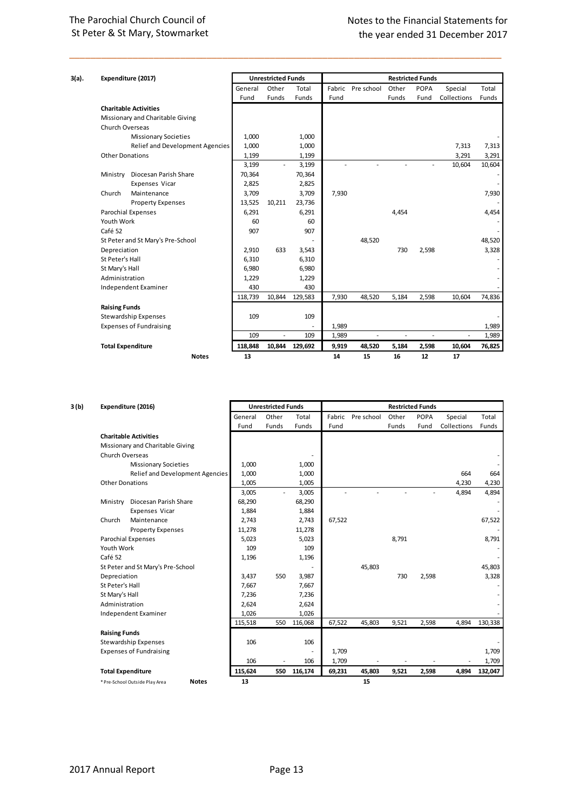## The Parochial Church Council of St Peter & St Mary, Stowmarket

| 3(a). |                          | Expenditure (2017)                |         | <b>Unrestricted Funds</b> |         |        |            |       | <b>Restricted Funds</b> |             |        |
|-------|--------------------------|-----------------------------------|---------|---------------------------|---------|--------|------------|-------|-------------------------|-------------|--------|
|       |                          |                                   | General | Other                     | Total   | Fabric | Pre school | Other | <b>POPA</b>             | Special     | Total  |
|       |                          |                                   | Fund    | Funds                     | Funds   | Fund   |            | Funds | Fund                    | Collections | Funds  |
|       |                          | <b>Charitable Activities</b>      |         |                           |         |        |            |       |                         |             |        |
|       |                          | Missionary and Charitable Giving  |         |                           |         |        |            |       |                         |             |        |
|       | Church Overseas          |                                   |         |                           |         |        |            |       |                         |             |        |
|       |                          | <b>Missionary Societies</b>       | 1,000   |                           | 1,000   |        |            |       |                         |             |        |
|       |                          | Relief and Development Agencies   | 1,000   |                           | 1,000   |        |            |       |                         | 7,313       | 7,313  |
|       | <b>Other Donations</b>   |                                   | 1,199   |                           | 1,199   |        |            |       |                         | 3,291       | 3,291  |
|       |                          |                                   | 3,199   | ٠                         | 3,199   |        |            |       |                         | 10,604      | 10,604 |
|       | Ministry                 | Diocesan Parish Share             | 70,364  |                           | 70,364  |        |            |       |                         |             |        |
|       |                          | <b>Expenses Vicar</b>             | 2,825   |                           | 2,825   |        |            |       |                         |             |        |
|       | Church                   | Maintenance                       | 3,709   |                           | 3,709   | 7,930  |            |       |                         |             | 7,930  |
|       |                          | <b>Property Expenses</b>          | 13,525  | 10,211                    | 23,736  |        |            |       |                         |             |        |
|       |                          | <b>Parochial Expenses</b>         | 6,291   |                           | 6,291   |        |            | 4,454 |                         |             | 4,454  |
|       | Youth Work               |                                   | 60      |                           | 60      |        |            |       |                         |             |        |
|       | Café 52                  |                                   | 907     |                           | 907     |        |            |       |                         |             |        |
|       |                          | St Peter and St Mary's Pre-School |         |                           |         |        | 48,520     |       |                         |             | 48,520 |
|       | Depreciation             |                                   | 2,910   | 633                       | 3,543   |        |            | 730   | 2,598                   |             | 3,328  |
|       | St Peter's Hall          |                                   | 6,310   |                           | 6,310   |        |            |       |                         |             |        |
|       | St Mary's Hall           |                                   | 6,980   |                           | 6,980   |        |            |       |                         |             |        |
|       | Administration           |                                   | 1,229   |                           | 1,229   |        |            |       |                         |             |        |
|       |                          | Independent Examiner              | 430     |                           | 430     |        |            |       |                         |             |        |
|       |                          |                                   | 118,739 | 10,844                    | 129,583 | 7,930  | 48,520     | 5,184 | 2,598                   | 10,604      | 74,836 |
|       | <b>Raising Funds</b>     |                                   |         |                           |         |        |            |       |                         |             |        |
|       |                          | <b>Stewardship Expenses</b>       | 109     |                           | 109     |        |            |       |                         |             |        |
|       |                          | <b>Expenses of Fundraising</b>    |         |                           |         | 1,989  |            |       |                         |             | 1,989  |
|       |                          |                                   | 109     | ä,                        | 109     | 1,989  | ä,         | ä,    | ä,                      |             | 1,989  |
|       | <b>Total Expenditure</b> |                                   | 118,848 | 10,844                    | 129,692 | 9,919  | 48,520     | 5,184 | 2,598                   | 10,604      | 76,825 |
|       |                          | <b>Notes</b>                      | 13      |                           |         | 14     | 15         | 16    | 12                      | 17          |        |

| 3 (b) | Expenditure (2016)                             |         | <b>Unrestricted Funds</b> |         |        |            |       | <b>Restricted Funds</b> |             |         |
|-------|------------------------------------------------|---------|---------------------------|---------|--------|------------|-------|-------------------------|-------------|---------|
|       |                                                | General | Other                     | Total   | Fabric | Pre school | Other | <b>POPA</b>             | Special     | Total   |
|       |                                                | Fund    | Funds                     | Funds   | Fund   |            | Funds | Fund                    | Collections | Funds   |
|       | <b>Charitable Activities</b>                   |         |                           |         |        |            |       |                         |             |         |
|       | Missionary and Charitable Giving               |         |                           |         |        |            |       |                         |             |         |
|       | Church Overseas                                |         |                           |         |        |            |       |                         |             |         |
|       | <b>Missionary Societies</b>                    | 1,000   |                           | 1,000   |        |            |       |                         |             |         |
|       | Relief and Development Agencies                | 1,000   |                           | 1,000   |        |            |       |                         | 664         | 664     |
|       | <b>Other Donations</b>                         | 1,005   |                           | 1,005   |        |            |       |                         | 4,230       | 4,230   |
|       |                                                | 3,005   | $\overline{\phantom{a}}$  | 3,005   |        |            |       | ä,                      | 4,894       | 4,894   |
|       | Ministry Diocesan Parish Share                 | 68,290  |                           | 68,290  |        |            |       |                         |             |         |
|       | Expenses Vicar                                 | 1,884   |                           | 1,884   |        |            |       |                         |             |         |
|       | Maintenance<br>Church                          | 2.743   |                           | 2,743   | 67,522 |            |       |                         |             | 67,522  |
|       | <b>Property Expenses</b>                       | 11,278  |                           | 11,278  |        |            |       |                         |             |         |
|       | <b>Parochial Expenses</b>                      | 5,023   |                           | 5,023   |        |            | 8,791 |                         |             | 8,791   |
|       | Youth Work                                     | 109     |                           | 109     |        |            |       |                         |             |         |
|       | Café 52                                        | 1,196   |                           | 1,196   |        |            |       |                         |             |         |
|       | St Peter and St Mary's Pre-School              |         |                           |         |        | 45,803     |       |                         |             | 45,803  |
|       | Depreciation                                   | 3,437   | 550                       | 3,987   |        |            | 730   | 2,598                   |             | 3,328   |
|       | St Peter's Hall                                | 7,667   |                           | 7,667   |        |            |       |                         |             |         |
|       | St Mary's Hall                                 | 7,236   |                           | 7,236   |        |            |       |                         |             |         |
|       | Administration                                 | 2,624   |                           | 2,624   |        |            |       |                         |             |         |
|       | <b>Independent Examiner</b>                    | 1,026   |                           | 1,026   |        |            |       |                         |             |         |
|       |                                                | 115,518 | 550                       | 116,068 | 67,522 | 45,803     | 9,521 | 2,598                   | 4,894       | 130,338 |
|       | <b>Raising Funds</b>                           |         |                           |         |        |            |       |                         |             |         |
|       | Stewardship Expenses                           | 106     |                           | 106     |        |            |       |                         |             |         |
|       | <b>Expenses of Fundraising</b>                 |         |                           |         | 1,709  |            |       |                         |             | 1,709   |
|       |                                                | 106     |                           | 106     | 1,709  |            |       |                         |             | 1,709   |
|       | <b>Total Expenditure</b>                       | 115,624 | 550                       | 116,174 | 69,231 | 45,803     | 9,521 | 2,598                   | 4,894       | 132,047 |
|       | <b>Notes</b><br>* Pre-School Outside Play Area | 13      |                           |         |        | 15         |       |                         |             |         |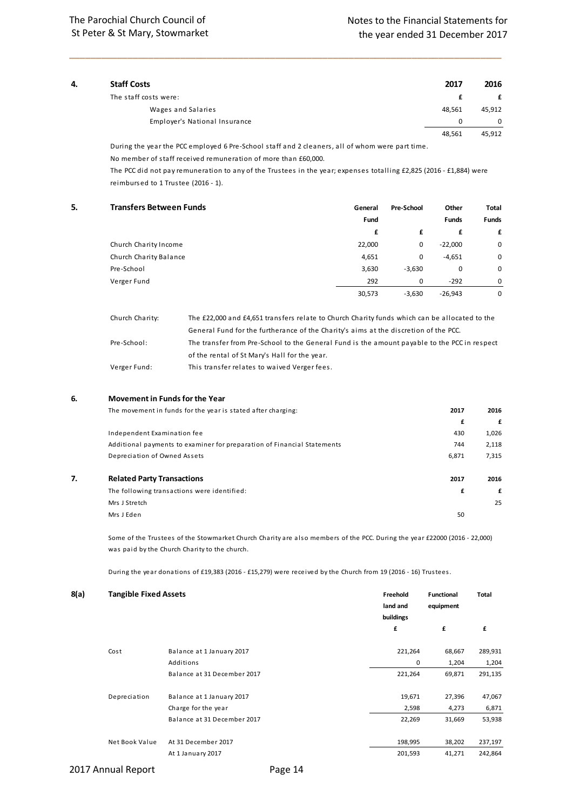| 4. | <b>Staff Costs</b>            | 2017   | 2016     |
|----|-------------------------------|--------|----------|
|    | The staff costs were:         |        | £        |
|    | Wages and Salaries            | 48,561 | 45,912   |
|    | Employer's National Insurance | 0      | $\Omega$ |
|    |                               | 48,561 | 45,912   |

During the year the PCC employed 6 Pre-School staff and 2 cleaners, all of whom were part time.

No member of staff received remuneration of more than £60,000.

The PCC did not pay remuneration to any of the Trustees in the year; expenses totalling £2,825 (2016 - £1,884) were reimbursed to 1 Trustee (2016 - 1).

| 5. | <b>Transfers Between Funds</b> | General | <b>Pre-School</b> | Other        | Total        |
|----|--------------------------------|---------|-------------------|--------------|--------------|
|    |                                | Fund    |                   | <b>Funds</b> | <b>Funds</b> |
|    |                                | £       | £                 | £            | £            |
|    | Church Charity Income          | 22,000  | 0                 | $-22,000$    | 0            |
|    | Church Charity Balance         | 4,651   | 0                 | $-4,651$     | 0            |
|    | Pre-School                     | 3,630   | $-3,630$          | 0            | 0            |
|    | Verger Fund                    | 292     | 0                 | $-292$       | 0            |
|    |                                | 30,573  | $-3,630$          | $-26,943$    | 0            |
|    |                                |         |                   |              |              |

| Church Charity: | The £22,000 and £4,651 transfers relate to Church Charity funds which can be allocated to the |
|-----------------|-----------------------------------------------------------------------------------------------|
|                 | General Fund for the furtherance of the Charity's aims at the discretion of the PCC.          |
| Pre-School:     | The transfer from Pre-School to the General Fund is the amount payable to the PCC in respect  |
|                 | of the rental of St Mary's Hall for the year.                                                 |
| Verger Fund:    | This transfer relates to waived Verger fees.                                                  |

### **6. Movement in Funds for the Year**

|    | The movement in funds for the year is stated after charging:            | 2017  | 2016  |
|----|-------------------------------------------------------------------------|-------|-------|
|    |                                                                         | £     | £     |
|    | Independent Examination fee                                             | 430   | 1,026 |
|    | Additional payments to examiner for preparation of Financial Statements | 744   | 2,118 |
|    | Depreciation of Owned Assets                                            | 6,871 | 7,315 |
| 7. | <b>Related Party Transactions</b>                                       | 2017  | 2016  |
|    | The following transactions were identified:                             | £     | £     |
|    | Mrs J Stretch                                                           |       | 25    |
|    | Mrs J Eden                                                              | 50    |       |

Some of the Trustees of the Stowmarket Church Charity are also members of the PCC. During the year £22000 (2016 - 22,000) was paid by the Church Charity to the church.

During the year donations of £19,383 (2016 - £15,279) were received by the Church from 19 (2016 - 16) Trustees.

| 8(a) | <b>Tangible Fixed Assets</b> |                             | Freehold<br>land and<br>buildings | <b>Functional</b><br>equipment | Total   |
|------|------------------------------|-----------------------------|-----------------------------------|--------------------------------|---------|
|      |                              |                             | £                                 | £                              | £       |
|      | Cost                         | Balance at 1 January 2017   | 221,264                           | 68,667                         | 289,931 |
|      |                              | Additions                   | 0                                 | 1,204                          | 1,204   |
|      |                              | Balance at 31 December 2017 | 221,264                           | 69,871                         | 291,135 |
|      | Depreciation                 | Balance at 1 January 2017   | 19,671                            | 27,396                         | 47,067  |
|      |                              | Charge for the year         | 2,598                             | 4,273                          | 6,871   |
|      |                              | Balance at 31 December 2017 | 22,269                            | 31,669                         | 53,938  |
|      | Net Book Value               | At 31 December 2017         | 198,995                           | 38,202                         | 237,197 |
|      |                              | At 1 January 2017           | 201,593                           | 41,271                         | 242,864 |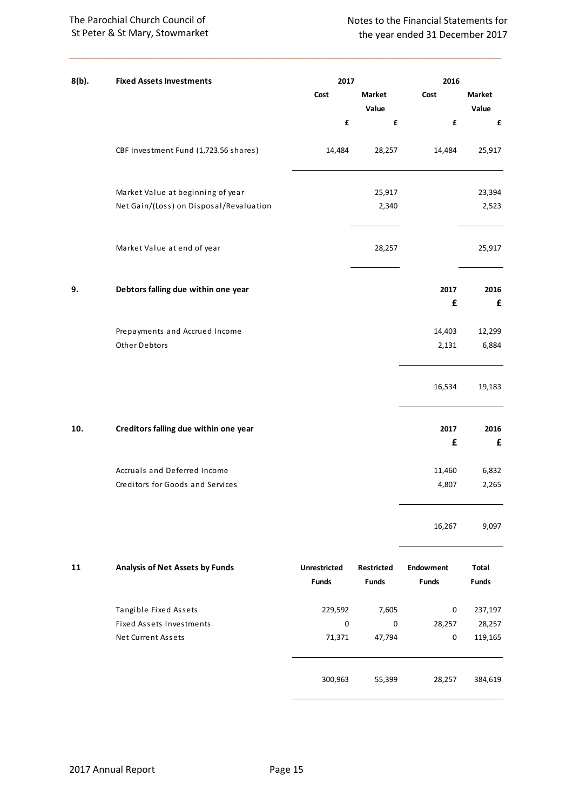## The Parochial Church Council of St Peter & St Mary, Stowmarket

| 8(b). | <b>Fixed Assets Investments</b>                 | 2017                                |                            | 2016                             |                       |
|-------|-------------------------------------------------|-------------------------------------|----------------------------|----------------------------------|-----------------------|
|       |                                                 | Cost                                | Market<br>Value            | Cost                             | Market<br>Value       |
|       |                                                 | £                                   | £                          | £                                | £                     |
|       | CBF Investment Fund (1,723.56 shares)           | 14,484                              | 28,257                     | 14,484                           | 25,917                |
|       | Market Value at beginning of year               |                                     | 25,917                     |                                  | 23,394                |
|       | Net Gain/(Loss) on Disposal/Revaluation         |                                     | 2,340                      |                                  | 2,523                 |
|       | Market Value at end of year                     |                                     | 28,257                     |                                  | 25,917                |
| 9.    | Debtors falling due within one year             |                                     |                            | 2017<br>£                        | 2016<br>£             |
|       |                                                 |                                     |                            |                                  |                       |
|       | Prepayments and Accrued Income<br>Other Debtors |                                     |                            | 14,403<br>2,131                  | 12,299<br>6,884       |
|       |                                                 |                                     |                            | 16,534                           | 19,183                |
| 10.   | Creditors falling due within one year           |                                     |                            | 2017<br>£                        | 2016<br>£             |
|       | Accruals and Deferred Income                    |                                     |                            | 11,460                           | 6,832                 |
|       | Creditors for Goods and Services                |                                     |                            | 4,807                            | 2,265                 |
|       |                                                 |                                     |                            | 16,267                           | 9,097                 |
| 11    | Analysis of Net Assets by Funds                 | <b>Unrestricted</b><br><b>Funds</b> | Restricted<br><b>Funds</b> | <b>Endowment</b><br><b>Funds</b> | Total<br><b>Funds</b> |
|       | Tangible Fixed Assets                           | 229,592                             | 7,605                      | 0                                | 237,197               |
|       | Fixed Assets Investments                        | 0                                   | 0                          | 28,257                           | 28,257                |
|       | Net Current Assets                              | 71,371                              | 47,794                     | 0                                | 119,165               |
|       |                                                 | 300,963                             | 55,399                     | 28,257                           | 384,619               |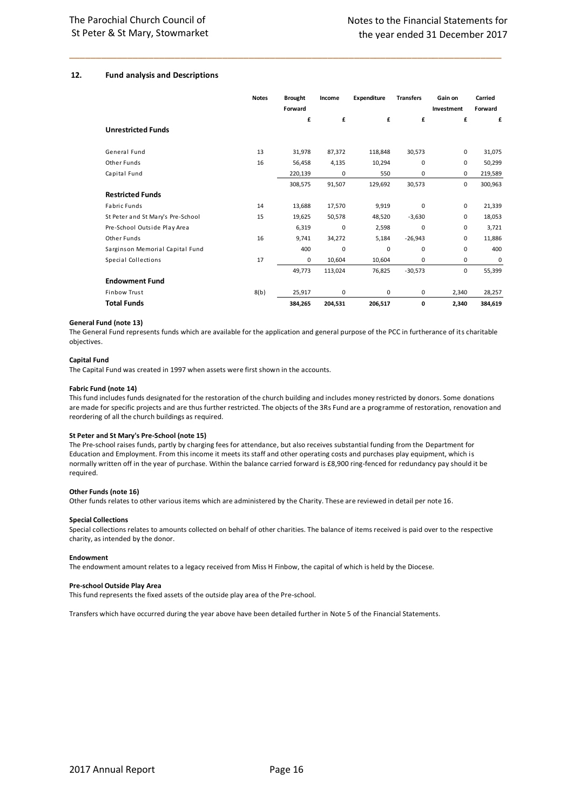#### **12. Fund analysis and Descriptions**

|                                   | <b>Notes</b> | <b>Brought</b><br>Forward | Income      | <b>Expenditure</b> | <b>Transfers</b> | Gain on<br>Investment | Carried<br>Forward |
|-----------------------------------|--------------|---------------------------|-------------|--------------------|------------------|-----------------------|--------------------|
| <b>Unrestricted Funds</b>         |              | £                         | £           | £                  | £                | £                     | £                  |
| General Fund                      | 13           | 31,978                    | 87,372      | 118,848            | 30,573           | $\mathbf 0$           | 31,075             |
| Other Funds                       | 16           | 56,458                    | 4,135       | 10,294             | $\mathbf 0$      | 0                     | 50,299             |
| Capital Fund                      |              | 220,139                   | $\mathbf 0$ | 550                | $\mathbf 0$      | $\mathbf 0$           | 219,589            |
|                                   |              | 308,575                   | 91,507      | 129,692            | 30,573           | $\mathbf 0$           | 300,963            |
| <b>Restricted Funds</b>           |              |                           |             |                    |                  |                       |                    |
| <b>Fabric Funds</b>               | 14           | 13,688                    | 17,570      | 9,919              | $\mathbf 0$      | $\mathbf 0$           | 21,339             |
| St Peter and St Mary's Pre-School | 15           | 19,625                    | 50,578      | 48,520             | $-3,630$         | $\Omega$              | 18,053             |
| Pre-School Outside Play Area      |              | 6,319                     | $\mathbf 0$ | 2,598              | $\mathbf 0$      | $\mathbf 0$           | 3,721              |
| Other Funds                       | 16           | 9,741                     | 34,272      | 5,184              | $-26,943$        | $\mathbf 0$           | 11,886             |
| Sarginson Memorial Capital Fund   |              | 400                       | $\mathbf 0$ | $\mathbf 0$        | $\mathbf 0$      | $\mathbf 0$           | 400                |
| Special Collections               | 17           | 0                         | 10,604      | 10,604             | 0                | $\mathbf 0$           | $\mathbf 0$        |
|                                   |              | 49,773                    | 113,024     | 76,825             | $-30,573$        | $\mathbf 0$           | 55,399             |
| <b>Endowment Fund</b>             |              |                           |             |                    |                  |                       |                    |
| <b>Finbow Trust</b>               | 8(b)         | 25,917                    | $\mathbf 0$ | 0                  | $\mathbf 0$      | 2,340                 | 28,257             |
| <b>Total Funds</b>                |              | 384,265                   | 204,531     | 206,517            | 0                | 2,340                 | 384,619            |

\_\_\_\_\_\_\_\_\_\_\_\_\_\_\_\_\_\_\_\_\_\_\_\_\_\_\_\_\_\_\_\_\_\_\_\_\_\_\_\_\_\_\_\_\_\_\_\_\_\_\_\_\_\_\_\_\_\_\_\_\_\_\_\_\_\_\_\_\_\_\_\_\_\_\_\_\_\_\_\_\_\_

#### **General Fund (note 13)**

The General Fund represents funds which are available for the application and general purpose of the PCC in furtherance of its charitable objectives.

#### **Capital Fund**

The Capital Fund was created in 1997 when assets were first shown in the accounts.

#### **Fabric Fund (note 14)**

This fund includes funds designated for the restoration of the church building and includes money restricted by donors. Some donations are made for specific projects and are thus further restricted. The objects of the 3Rs Fund are a programme of restoration, renovation and reordering of all the church buildings as required.

#### **St Peter and St Mary's Pre-School (note 15)**

The Pre-school raises funds, partly by charging fees for attendance, but also receives substantial funding from the Department for Education and Employment. From this income it meets its staff and other operating costs and purchases play equipment, which is normally written off in the year of purchase. Within the balance carried forward is £8,900 ring-fenced for redundancy pay should it be required.

#### **Other Funds (note 16)**

Other funds relates to other various items which are administered by the Charity. These are reviewed in detail per note 16.

#### **Special Collections**

Special collections relates to amounts collected on behalf of other charities. The balance of items received is paid over to the respective charity, as intended by the donor.

#### **Endowment**

The endowment amount relates to a legacy received from Miss H Finbow, the capital of which is held by the Diocese.

#### **Pre-school Outside Play Area**

This fund represents the fixed assets of the outside play area of the Pre-school.

Transfers which have occurred during the year above have been detailed further in Note 5 of the Financial Statements.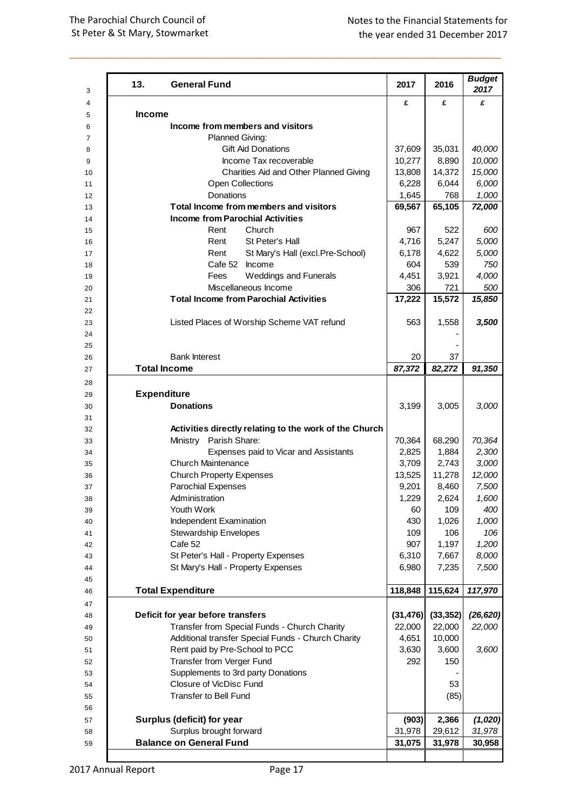| 13.<br><b>General Fund</b>                                            |                                                        | 2017            | 2016            | <b>Budget</b><br>2017 |
|-----------------------------------------------------------------------|--------------------------------------------------------|-----------------|-----------------|-----------------------|
| <b>Income</b>                                                         |                                                        | £               | £               | £                     |
| Income from members and visitors                                      |                                                        |                 |                 |                       |
| Planned Giving:                                                       |                                                        |                 |                 |                       |
| <b>Gift Aid Donations</b>                                             |                                                        | 37,609          | 35,031          | 40,000                |
|                                                                       | Income Tax recoverable                                 | 10,277          | 8,890           | 10,000                |
|                                                                       | Charities Aid and Other Planned Giving                 | 13,808          | 14,372          | 15,000                |
| <b>Open Collections</b>                                               |                                                        | 6,228           | 6,044           | 6,000                 |
| <b>Donations</b>                                                      |                                                        | 1,645           | 768             | 1,000                 |
| Total Income from members and visitors                                |                                                        | 69,567          | 65,105          | 72,000                |
| <b>Income from Parochial Activities</b>                               |                                                        |                 |                 |                       |
| Rent                                                                  | Church                                                 | 967             | 522             | 600                   |
| Rent                                                                  | St Peter's Hall                                        | 4,716           | 5,247           | 5,000                 |
| Rent                                                                  | St Mary's Hall (excl.Pre-School)                       | 6,178           | 4,622           | 5,000                 |
| Cafe 52 Income                                                        |                                                        | 604             | 539             | 750                   |
| Fees                                                                  | <b>Weddings and Funerals</b>                           | 4,451           | 3,921           | 4,000                 |
| Miscellaneous Income<br><b>Total Income from Parochial Activities</b> |                                                        | 306             | 721             | 500                   |
|                                                                       |                                                        | 17,222          | 15,572          | 15,850                |
| Listed Places of Worship Scheme VAT refund                            |                                                        | 563             | 1,558           | 3,500                 |
|                                                                       |                                                        |                 |                 |                       |
|                                                                       |                                                        |                 |                 |                       |
| <b>Bank Interest</b>                                                  |                                                        | 20              | 37              |                       |
| <b>Total Income</b>                                                   |                                                        | 87,372          | 82,272          | 91,350                |
|                                                                       |                                                        |                 |                 |                       |
| <b>Expenditure</b>                                                    |                                                        |                 |                 |                       |
| <b>Donations</b>                                                      |                                                        | 3,199           | 3,005           | 3,000                 |
|                                                                       |                                                        |                 |                 |                       |
|                                                                       | Activities directly relating to the work of the Church |                 |                 |                       |
| Ministry Parish Share:                                                |                                                        | 70,364          | 68,290          | 70,364                |
|                                                                       | Expenses paid to Vicar and Assistants                  | 2,825           | 1,884           | 2,300                 |
| <b>Church Maintenance</b>                                             |                                                        | 3,709           | 2,743<br>11,278 | 3,000<br>12,000       |
| <b>Church Property Expenses</b><br><b>Parochial Expenses</b>          |                                                        | 13,525<br>9,201 | 8,460           | 7,500                 |
| Administration                                                        |                                                        | 1,229           | 2,624           | 1,600                 |
| Youth Work                                                            |                                                        | 60              | 109             | 400                   |
| Independent Examination                                               |                                                        | 430             | 1,026           | 1,000                 |
| <b>Stewardship Envelopes</b>                                          |                                                        | 109             | 106             | 106                   |
| Cafe 52                                                               |                                                        | 907             | 1,197           | 1,200                 |
| St Peter's Hall - Property Expenses                                   |                                                        | 6,310           | 7,667           | 8,000                 |
| St Mary's Hall - Property Expenses                                    |                                                        | 6,980           | 7,235           | 7,500                 |
|                                                                       |                                                        |                 |                 |                       |
| <b>Total Expenditure</b>                                              |                                                        | 118,848         | 115,624         | 117,970               |
|                                                                       |                                                        |                 |                 |                       |
| Deficit for year before transfers                                     |                                                        | (31, 476)       | (33, 352)       | (26, 620)             |
| Transfer from Special Funds - Church Charity                          |                                                        | 22,000          | 22,000          | 22,000                |
|                                                                       | Additional transfer Special Funds - Church Charity     | 4,651           | 10,000          |                       |
| Rent paid by Pre-School to PCC                                        |                                                        | 3,630           | 3,600           | 3,600                 |
| Transfer from Verger Fund<br>Supplements to 3rd party Donations       |                                                        | 292             | 150             |                       |
| Closure of VicDisc Fund                                               |                                                        |                 | 53              |                       |
| Transfer to Bell Fund                                                 |                                                        |                 | (85)            |                       |
|                                                                       |                                                        |                 |                 |                       |
| Surplus (deficit) for year                                            |                                                        | (903)           | 2,366           | (1,020)               |
| Surplus brought forward                                               |                                                        | 31,978          | 29,612          | 31,978                |
| <b>Balance on General Fund</b>                                        |                                                        | 31,075          | 31,978          | 30,958                |
|                                                                       |                                                        |                 |                 |                       |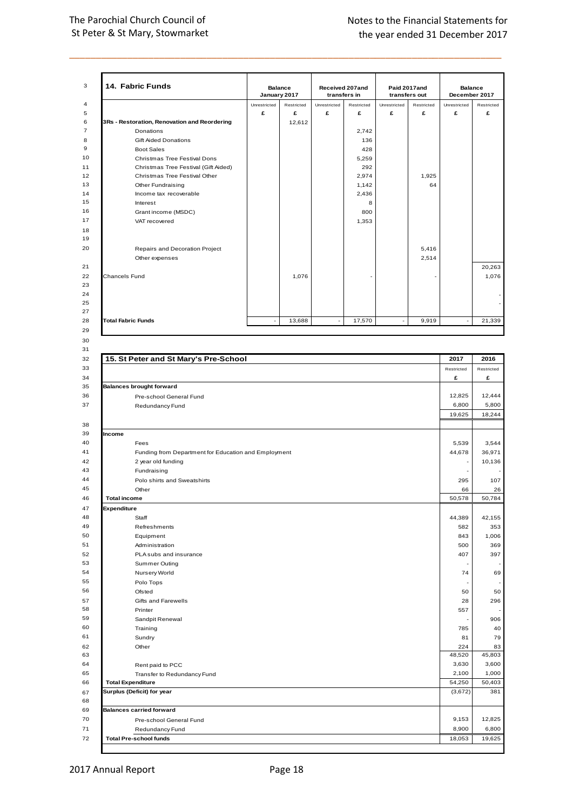| 14. Fabric Funds                             | January 2017 | <b>Balance</b> |              | Received 207and<br>transfers in |              | Paid 2017and<br>transfers out | <b>Balance</b><br>December 2017 |            |
|----------------------------------------------|--------------|----------------|--------------|---------------------------------|--------------|-------------------------------|---------------------------------|------------|
|                                              | Unrestricted | Restricted     | Unrestricted | Restricted                      | Unrestricted | Restricted                    | Unrestricted                    | Restricted |
|                                              | £            | £              | £            | £                               | £            | £                             | £                               |            |
| 3Rs - Restoration, Renovation and Reordering |              | 12,612         |              |                                 |              |                               |                                 |            |
| Donations                                    |              |                |              | 2,742                           |              |                               |                                 |            |
| <b>Gift Aided Donations</b>                  |              |                |              | 136                             |              |                               |                                 |            |
| <b>Boot Sales</b>                            |              |                |              | 428                             |              |                               |                                 |            |
| Christmas Tree Festival Dons                 |              |                |              | 5,259                           |              |                               |                                 |            |
| Christmas Tree Festival (Gift Aided)         |              |                |              | 292                             |              |                               |                                 |            |
| Christmas Tree Festival Other                |              |                |              | 2.974                           |              | 1.925                         |                                 |            |
| Other Fundraising                            |              |                |              | 1,142                           |              | 64                            |                                 |            |
| Income tax recoverable                       |              |                |              | 2,436                           |              |                               |                                 |            |
| Interest                                     |              |                |              | 8                               |              |                               |                                 |            |
| Grant income (MSDC)                          |              |                |              | 800                             |              |                               |                                 |            |
| VAT recovered                                |              |                |              | 1,353                           |              |                               |                                 |            |
|                                              |              |                |              |                                 |              |                               |                                 |            |
| Repairs and Decoration Project               |              |                |              |                                 |              | 5.416                         |                                 |            |
| Other expenses                               |              |                |              |                                 |              | 2.514                         |                                 |            |
|                                              |              |                |              |                                 |              |                               |                                 | 20,263     |
| <b>Chancels Fund</b>                         |              | 1,076          |              |                                 |              |                               |                                 |            |
|                                              |              |                |              |                                 |              |                               |                                 |            |
| <b>Total Fabric Funds</b>                    | ٠            | 13,688         | ٠            | 17,570                          |              | 9,919                         | $\sim$                          | 21,339     |
|                                              |              |                |              |                                 |              |                               |                                 |            |

| 15. St Peter and St Mary's Pre-School<br>Restricted<br>£<br><b>Balances brought forward</b><br>12,825<br>Pre-school General Fund<br>6,800<br>Redundancy Fund<br>19,625<br>5,539<br>Fees<br>44,678<br>Funding from Department for Education and Employment<br>2 year old funding<br>×<br>Fundraising<br>Polo shirts and Sweatshirts<br>295<br>Other<br>66<br><b>Total income</b><br>50,578<br>Staff<br>44,389<br>582<br>Refreshments<br>843<br>Equipment<br>Administration<br>500<br>PLA subs and insurance<br>407<br>Summer Outing<br>Nursery World<br>74<br>Polo Tops<br>Ofsted<br>50<br>Gifts and Farewells<br>28<br>Printer<br>557<br>Sandpit Renewal<br>Training<br>785<br>81<br>Sundry<br>Other<br>224<br>48,520<br>3,630<br>Rent paid to PCC<br>2,100<br>Transfer to Redundancy Fund<br>54,250<br><b>Total Expenditure</b><br>(3,672) |                               |  |  |        |                 |
|---------------------------------------------------------------------------------------------------------------------------------------------------------------------------------------------------------------------------------------------------------------------------------------------------------------------------------------------------------------------------------------------------------------------------------------------------------------------------------------------------------------------------------------------------------------------------------------------------------------------------------------------------------------------------------------------------------------------------------------------------------------------------------------------------------------------------------------------|-------------------------------|--|--|--------|-----------------|
|                                                                                                                                                                                                                                                                                                                                                                                                                                                                                                                                                                                                                                                                                                                                                                                                                                             |                               |  |  | 2017   | 2016            |
|                                                                                                                                                                                                                                                                                                                                                                                                                                                                                                                                                                                                                                                                                                                                                                                                                                             |                               |  |  |        | Restricted      |
| Income<br>Expenditure<br>Surplus (Deficit) for year                                                                                                                                                                                                                                                                                                                                                                                                                                                                                                                                                                                                                                                                                                                                                                                         |                               |  |  |        |                 |
|                                                                                                                                                                                                                                                                                                                                                                                                                                                                                                                                                                                                                                                                                                                                                                                                                                             |                               |  |  |        | 12,444          |
|                                                                                                                                                                                                                                                                                                                                                                                                                                                                                                                                                                                                                                                                                                                                                                                                                                             |                               |  |  |        | 5,800           |
|                                                                                                                                                                                                                                                                                                                                                                                                                                                                                                                                                                                                                                                                                                                                                                                                                                             |                               |  |  |        | 18,244          |
|                                                                                                                                                                                                                                                                                                                                                                                                                                                                                                                                                                                                                                                                                                                                                                                                                                             |                               |  |  |        |                 |
|                                                                                                                                                                                                                                                                                                                                                                                                                                                                                                                                                                                                                                                                                                                                                                                                                                             |                               |  |  |        |                 |
|                                                                                                                                                                                                                                                                                                                                                                                                                                                                                                                                                                                                                                                                                                                                                                                                                                             |                               |  |  |        |                 |
|                                                                                                                                                                                                                                                                                                                                                                                                                                                                                                                                                                                                                                                                                                                                                                                                                                             |                               |  |  |        | 36,971          |
|                                                                                                                                                                                                                                                                                                                                                                                                                                                                                                                                                                                                                                                                                                                                                                                                                                             |                               |  |  |        | 10,136          |
|                                                                                                                                                                                                                                                                                                                                                                                                                                                                                                                                                                                                                                                                                                                                                                                                                                             |                               |  |  |        |                 |
|                                                                                                                                                                                                                                                                                                                                                                                                                                                                                                                                                                                                                                                                                                                                                                                                                                             |                               |  |  |        |                 |
|                                                                                                                                                                                                                                                                                                                                                                                                                                                                                                                                                                                                                                                                                                                                                                                                                                             |                               |  |  |        |                 |
|                                                                                                                                                                                                                                                                                                                                                                                                                                                                                                                                                                                                                                                                                                                                                                                                                                             |                               |  |  |        | 50,784          |
|                                                                                                                                                                                                                                                                                                                                                                                                                                                                                                                                                                                                                                                                                                                                                                                                                                             |                               |  |  |        |                 |
|                                                                                                                                                                                                                                                                                                                                                                                                                                                                                                                                                                                                                                                                                                                                                                                                                                             |                               |  |  |        | 42,155          |
|                                                                                                                                                                                                                                                                                                                                                                                                                                                                                                                                                                                                                                                                                                                                                                                                                                             |                               |  |  |        |                 |
|                                                                                                                                                                                                                                                                                                                                                                                                                                                                                                                                                                                                                                                                                                                                                                                                                                             |                               |  |  |        |                 |
|                                                                                                                                                                                                                                                                                                                                                                                                                                                                                                                                                                                                                                                                                                                                                                                                                                             |                               |  |  |        |                 |
|                                                                                                                                                                                                                                                                                                                                                                                                                                                                                                                                                                                                                                                                                                                                                                                                                                             |                               |  |  |        |                 |
|                                                                                                                                                                                                                                                                                                                                                                                                                                                                                                                                                                                                                                                                                                                                                                                                                                             |                               |  |  |        |                 |
|                                                                                                                                                                                                                                                                                                                                                                                                                                                                                                                                                                                                                                                                                                                                                                                                                                             |                               |  |  |        |                 |
| <b>Balances carried forward</b>                                                                                                                                                                                                                                                                                                                                                                                                                                                                                                                                                                                                                                                                                                                                                                                                             |                               |  |  |        |                 |
|                                                                                                                                                                                                                                                                                                                                                                                                                                                                                                                                                                                                                                                                                                                                                                                                                                             |                               |  |  |        |                 |
|                                                                                                                                                                                                                                                                                                                                                                                                                                                                                                                                                                                                                                                                                                                                                                                                                                             |                               |  |  |        |                 |
|                                                                                                                                                                                                                                                                                                                                                                                                                                                                                                                                                                                                                                                                                                                                                                                                                                             |                               |  |  |        |                 |
|                                                                                                                                                                                                                                                                                                                                                                                                                                                                                                                                                                                                                                                                                                                                                                                                                                             |                               |  |  |        |                 |
|                                                                                                                                                                                                                                                                                                                                                                                                                                                                                                                                                                                                                                                                                                                                                                                                                                             |                               |  |  |        |                 |
|                                                                                                                                                                                                                                                                                                                                                                                                                                                                                                                                                                                                                                                                                                                                                                                                                                             |                               |  |  |        |                 |
|                                                                                                                                                                                                                                                                                                                                                                                                                                                                                                                                                                                                                                                                                                                                                                                                                                             |                               |  |  |        | 45,803          |
|                                                                                                                                                                                                                                                                                                                                                                                                                                                                                                                                                                                                                                                                                                                                                                                                                                             |                               |  |  |        |                 |
|                                                                                                                                                                                                                                                                                                                                                                                                                                                                                                                                                                                                                                                                                                                                                                                                                                             |                               |  |  |        | 3,600<br>1,000  |
|                                                                                                                                                                                                                                                                                                                                                                                                                                                                                                                                                                                                                                                                                                                                                                                                                                             |                               |  |  |        | 50,403          |
|                                                                                                                                                                                                                                                                                                                                                                                                                                                                                                                                                                                                                                                                                                                                                                                                                                             |                               |  |  |        |                 |
|                                                                                                                                                                                                                                                                                                                                                                                                                                                                                                                                                                                                                                                                                                                                                                                                                                             |                               |  |  |        |                 |
|                                                                                                                                                                                                                                                                                                                                                                                                                                                                                                                                                                                                                                                                                                                                                                                                                                             |                               |  |  |        |                 |
| 8,900<br>Redundancy Fund                                                                                                                                                                                                                                                                                                                                                                                                                                                                                                                                                                                                                                                                                                                                                                                                                    | Pre-school General Fund       |  |  | 9,153  | 12,825<br>6,800 |
|                                                                                                                                                                                                                                                                                                                                                                                                                                                                                                                                                                                                                                                                                                                                                                                                                                             | <b>Total Pre-school funds</b> |  |  | 18,053 | 19,625          |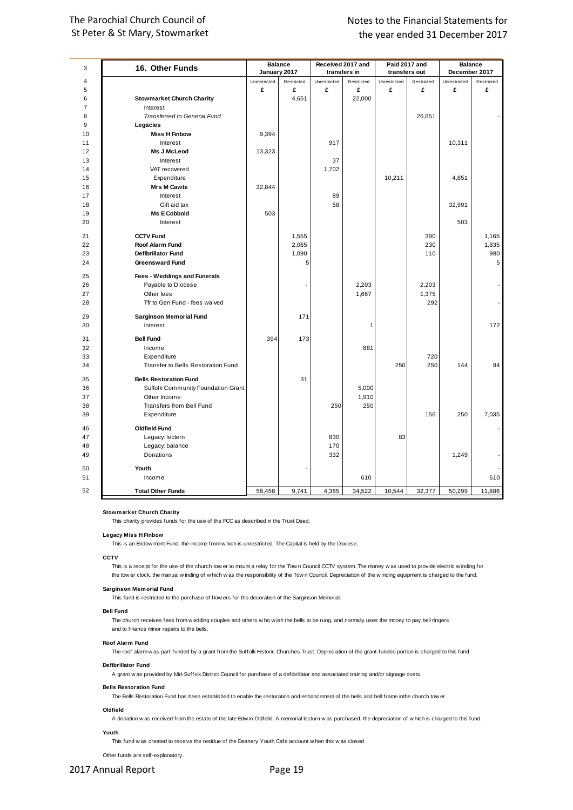## The Parochial Church Council of St Peter & St Mary, Stowmarket

| 3              | 16. Other Funds                    |                   | <b>Balance</b>           |                   | Received 2017 and |                   | Paid 2017 and   |                   | <b>Balance</b> |
|----------------|------------------------------------|-------------------|--------------------------|-------------------|-------------------|-------------------|-----------------|-------------------|----------------|
| 4              |                                    | January 2017      |                          |                   | transfers in      |                   | transfers out   | December 2017     | Restricted     |
| 5              |                                    | Unrestricted<br>£ | Restricted<br>£          | Unrestricted<br>£ | Restricted<br>£   | Unrestricted<br>£ | Restricted<br>£ | Unrestricted<br>£ | £              |
| 6              | <b>Stowmarket Church Charity</b>   |                   | 4,651                    |                   | 22,000            |                   |                 |                   |                |
| $\overline{7}$ | Interest                           |                   |                          |                   |                   |                   |                 |                   |                |
| 8              | Transferred to General Fund        |                   |                          |                   |                   |                   | 26,651          |                   |                |
| 9              | Legacies                           |                   |                          |                   |                   |                   |                 |                   |                |
| 10             | <b>Miss H Finbow</b>               | 9,394             |                          |                   |                   |                   |                 |                   |                |
| 11             | Interest                           |                   |                          | 917               |                   |                   |                 | 10,311            |                |
| 12             | Ms J McLeod                        | 13,323            |                          |                   |                   |                   |                 |                   |                |
| 13             | Interest                           |                   |                          | 37                |                   |                   |                 |                   |                |
| 14             | VAT recovered                      |                   |                          | 1,702             |                   |                   |                 |                   |                |
| 15             | Expenditure                        |                   |                          |                   |                   | 10,211            |                 | 4,851             |                |
| 16             | <b>Mrs M Cawte</b>                 | 32,844            |                          |                   |                   |                   |                 |                   |                |
| 17             | Interest                           |                   |                          | 89                |                   |                   |                 |                   |                |
| 18             | Gift aid tax                       |                   |                          | 58                |                   |                   |                 | 32,991            |                |
| 19             | <b>Ms E Cobbold</b>                | 503               |                          |                   |                   |                   |                 |                   |                |
| 20             | Interest                           |                   |                          |                   |                   |                   |                 | 503               |                |
|                |                                    |                   |                          |                   |                   |                   |                 |                   |                |
| 21             | <b>CCTV Fund</b>                   |                   | 1,555                    |                   |                   |                   | 390             |                   | 1,165          |
| 22             | Roof Alarm Fund                    |                   | 2,065                    |                   |                   |                   | 230             |                   | 1,835          |
| 23             | <b>Defibrillator Fund</b>          |                   | 1.090                    |                   |                   |                   | 110             |                   | 980            |
| 24             | <b>Greensward Fund</b>             |                   | 5                        |                   |                   |                   |                 |                   | 5              |
| 25             | Fees - Weddings and Funerals       |                   |                          |                   |                   |                   |                 |                   |                |
| 26             | Payable to Diocese                 |                   | $\overline{\phantom{a}}$ |                   | 2,203             |                   | 2,203           |                   |                |
| 27             | Other fees                         |                   |                          |                   | 1,667             |                   | 1,375           |                   |                |
| 28             | Tfr to Gen Fund - fees waived      |                   |                          |                   |                   |                   | 292             |                   |                |
|                |                                    |                   |                          |                   |                   |                   |                 |                   |                |
| 29             | <b>Sarginson Memorial Fund</b>     |                   | 171                      |                   |                   |                   |                 |                   |                |
| 30             | Interest                           |                   |                          |                   | 1                 |                   |                 |                   | 172            |
| 31             | <b>Bell Fund</b>                   | 394               | 173                      |                   |                   |                   |                 |                   |                |
| 32             | Income                             |                   |                          |                   | 881               |                   |                 |                   |                |
| 33             | Expenditure                        |                   |                          |                   |                   |                   | 720             |                   |                |
| 34             | Transfer to Bells Restoration Fund |                   |                          |                   |                   | 250               | 250             | 144               | 84             |
|                |                                    |                   |                          |                   |                   |                   |                 |                   |                |
| 35             | <b>Bells Restoration Fund</b>      |                   | 31                       |                   |                   |                   |                 |                   |                |
| 36             | Suffolk Community Foundation Grant |                   |                          |                   | 5,000             |                   |                 |                   |                |
| 37             | Other Income                       |                   |                          |                   | 1,910             |                   |                 |                   |                |
| 38             | Transfers from Bell Fund           |                   |                          | 250               | 250               |                   |                 |                   |                |
| 39             | Expenditure                        |                   |                          |                   |                   |                   | 156             | 250               | 7,035          |
| 46             | <b>Oldfield Fund</b>               |                   |                          |                   |                   |                   |                 |                   |                |
| 47             | Legacy: lectern                    |                   |                          | 830               |                   | 83                |                 |                   |                |
| 48             | Legacy: balance                    |                   |                          | 170               |                   |                   |                 |                   |                |
| 49             | Donations                          |                   |                          | 332               |                   |                   |                 | 1,249             |                |
|                |                                    |                   |                          |                   |                   |                   |                 |                   |                |
| 50             | Youth                              |                   |                          |                   |                   |                   |                 |                   |                |
| 51             | Income                             |                   |                          |                   | 610               |                   |                 |                   | 610            |
| 52             | <b>Total Other Funds</b>           | 56,458            | 9,741                    | 4,385             | 34,522            | 10,544            | 32,377          | 50,299            | 11,886         |

**Stowmarket Church Charity**

This charity provides funds for the use of the PCC as described in the Trust Deed.

#### **Legacy Miss H Finbow**

w market Church Charity<br>This charity provides funds for the use of the PCC as described in the Trust Deed.<br>Jacy Miss H Finbow<br>This is an Endow ment Fund, the income from w hich is unrestricted. The Capital is held by the D

#### **CCTV**

yacy Miss H Finbow<br>This is an Endow ment Fund, the income from w hich is unrestricted. The Capital is held by the Diocese.<br>This is a receipt for the use of the church tow er to mount a relay for the Tow n Council CCTV syst This is an Endow ment Fund, the income from w hich is unrestricted. The Capital is held by the Diocese.<br>TV<br>This is a receipt for the use of the church tow er to mount a relay for the Tow n Council. OCTV system. The money w This is a receipt for the use of the church tower to mount a relay for the Town Council CCTV sy<br>the tower clock, the manual winding of which was the responsibility of the Town Council. Depr<br>ginson Memorial. Fund<br>This fund

#### **Sarginson Memorial Fund**

#### **Bell Fund**

**ginson Memorial Fund**<br>This fund is restricted to the purchase of flow ers for the decoration of the Sarginson Memorial.<br>I Fund<br>The church receives fees from w edding couples and others w ho w ish the bells to be rung, and and to finance minor repairs to the bells. The church receives fees from w edding couples and others who wish the bells to be rung, and normally uses the money to pay bell ringers<br>and to finance minor repairs to the bells.<br>of Alarm Fund<br>The roof alarm w as part-fun

#### **Roof Alarm Fund**

The roof alarm w as part-funded by a grant from the Suffolk Historic Churches Trust. Depreciation of the grant-funded portion is charged to this fund.<br>
fibrillator Fund<br>
A grant w as provided by Mid-Suffolk District Counci

#### **Defibrillator Fund**

#### **Bells Restoration Fund**

The Bells Restoration Fund has been established to enable the restoration and enhancement of the bells and bell frame inthe church tow er

#### **Oldfield**

A donation w as received from the estate of the late Edw in Oldfield. A memorial lecturn w as purchased, the depreciation of w hich is charged to this fund.

#### **Youth**

This fund w as created to receive the residue of the Deanery Youth Cafe account w hen this w as closed

Other funds are self-explanatory.